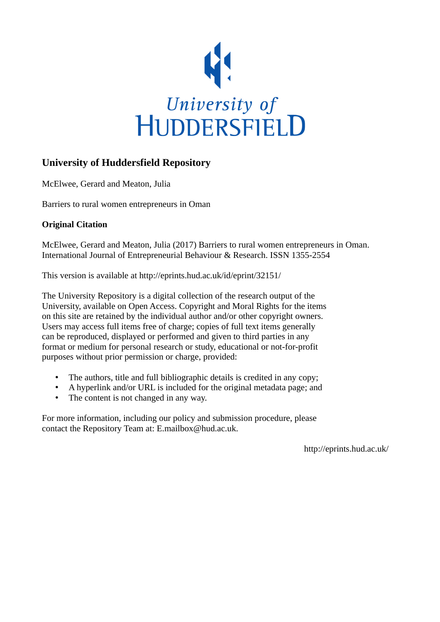

### **University of Huddersfield Repository**

McElwee, Gerard and Meaton, Julia

Barriers to rural women entrepreneurs in Oman

#### **Original Citation**

McElwee, Gerard and Meaton, Julia (2017) Barriers to rural women entrepreneurs in Oman. International Journal of Entrepreneurial Behaviour & Research. ISSN 1355-2554

This version is available at http://eprints.hud.ac.uk/id/eprint/32151/

The University Repository is a digital collection of the research output of the University, available on Open Access. Copyright and Moral Rights for the items on this site are retained by the individual author and/or other copyright owners. Users may access full items free of charge; copies of full text items generally can be reproduced, displayed or performed and given to third parties in any format or medium for personal research or study, educational or not-for-profit purposes without prior permission or charge, provided:

- The authors, title and full bibliographic details is credited in any copy;
- A hyperlink and/or URL is included for the original metadata page; and
- The content is not changed in any way.

For more information, including our policy and submission procedure, please contact the Repository Team at: E.mailbox@hud.ac.uk.

http://eprints.hud.ac.uk/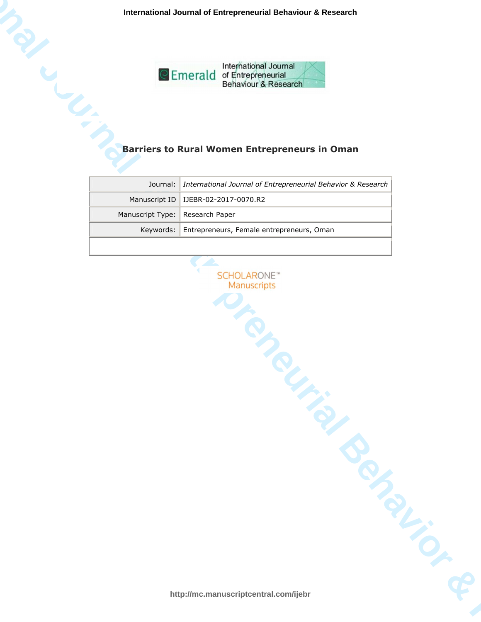**International Journal of Entrepreneurial Behaviour & Research**



### **Barriers to Rural Women Entrepreneurs in Oman**

|                  | International Journal<br>Emerald of Entrepreneurial<br>Behaviour & Research       |
|------------------|-----------------------------------------------------------------------------------|
|                  | <b>Barriers to Rural Women Entrepreneurs in Oman</b>                              |
| Journal:         | International Journal of Entrepreneurial Behavior & Research                      |
| Manuscript ID    | IJEBR-02-2017-0070.R2                                                             |
| Manuscript Type: | Research Paper                                                                    |
| Keywords:        | Entrepreneurs, Female entrepreneurs, Oman                                         |
|                  | <b>SCHOLARONE™</b><br>Manuscripts<br>Rey<br>http://mc.manuscriptcentral.com/ijebr |
|                  |                                                                                   |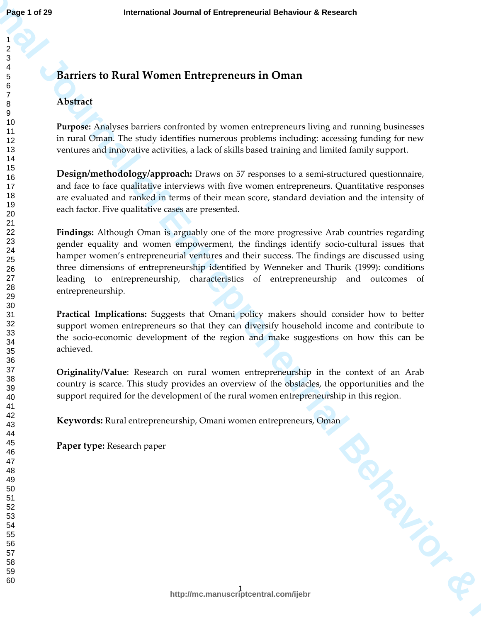# **Barriers to Rural Women Entrepreneurs in Oman**

### **Abstract**

**Purpose:** Analyses barriers confronted by women entrepreneurs living and running businesses in rural Oman. The study identifies numerous problems including: accessing funding for new ventures and innovative activities, a lack of skills based training and limited family support.

**Design/methodology/approach:** Draws on 57 responses to a semi-structured questionnaire, and face to face qualitative interviews with five women entrepreneurs. Quantitative responses are evaluated and ranked in terms of their mean score, standard deviation and the intensity of each factor. Five qualitative cases are presented.

**Page 1 of 23**<br> **International Journal of Entrepreneurial Behavior & Research**<br> **International of Entrepreneurial Behavior of Entrepreneurial Persons of Behavior Antonin Persons (and anti-<br>
<b>International Constrained Secti Findings:** Although Oman is arguably one of the more progressive Arab countries regarding gender equality and women empowerment, the findings identify socio-cultural issues that hamper women's entrepreneurial ventures and their success. The findings are discussed using three dimensions of entrepreneurship identified by Wenneker and Thurik (1999): conditions leading to entrepreneurship, characteristics of entrepreneurship and outcomes of entrepreneurship.

**Practical Implications:** Suggests that Omani policy makers should consider how to better support women entrepreneurs so that they can diversify household income and contribute to the socio-economic development of the region and make suggestions on how this can be achieved.

**Originality/Value**: Research on rural women entrepreneurship in the context of an Arab country is scarce. This study provides an overview of the obstacles, the opportunities and the support required for the development of the rural women entrepreneurship in this region.<br> **Keywords:** Rural entrepreneurship, Omani women entrepreneurs, Oman<br> **Paper type:** Research paper<br> **Paper type:** Research paper<br> **Pa** 

**Keywords:** Rural entrepreneurship, Omani women entrepreneurs, Oman

**Paper type:** Research paper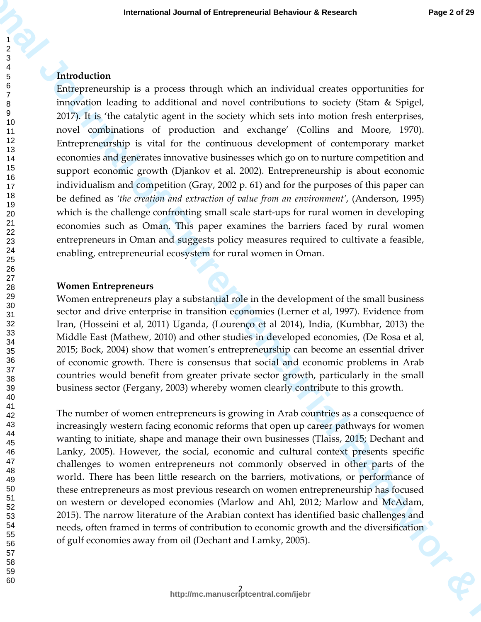## **Introduction**

**International Journal of Entrepreneurial Behavior & Research<br>
2<br>
<b>International of the controller state of the Society Comparison Controller Scheduler Scheduler Scheduler Scheduler Scheduler Scheduler Scheduler Scheduler** Entrepreneurship is a process through which an individual creates opportunities for innovation leading to additional and novel contributions to society (Stam & Spigel, 2017). It is 'the catalytic agent in the society which sets into motion fresh enterprises, novel combinations of production and exchange' (Collins and Moore, 1970). Entrepreneurship is vital for the continuous development of contemporary market economies and generates innovative businesses which go on to nurture competition and support economic growth (Djankov et al. 2002). Entrepreneurship is about economic individualism and competition (Gray, 2002 p. 61) and for the purposes of this paper can be defined as *'the creation and extraction of value from an environment'*, (Anderson, 1995) which is the challenge confronting small scale start-ups for rural women in developing economies such as Oman. This paper examines the barriers faced by rural women entrepreneurs in Oman and suggests policy measures required to cultivate a feasible, enabling, entrepreneurial ecosystem for rural women in Oman.

#### **Women Entrepreneurs**

Women entrepreneurs play a substantial role in the development of the small business sector and drive enterprise in transition economies (Lerner et al, 1997). Evidence from Iran, (Hosseini et al, 2011) Uganda, (Lourenço et al 2014), India, (Kumbhar, 2013) the Middle East (Mathew, 2010) and other studies in developed economies, (De Rosa et al, 2015; Bock, 2004) show that women's entrepreneurship can become an essential driver of economic growth. There is consensus that social and economic problems in Arab countries would benefit from greater private sector growth, particularly in the small business sector (Fergany, 2003) whereby women clearly contribute to this growth.

The number of women entrepreneurs is growing in Arab countries as a consequence of increasingly western facing economic reforms that open up career pathways for women wanting to initiate, shape and manage their own businesses (Tlaiss, 2015; Dechant and Lanky, 2005). However, the social, economic and cultural context presents specific challenges to women entrepreneurs not commonly observed in other parts of the world. There has been little research on the barriers, motivations, or performance of these entrepreneurs as most previous research on women entrepreneurship has focused on western or developed economies (Marlow and Ahl, 2012; Marlow and McAdam, 2015). The narrow literature of the Arabian context has identified basic challenges and needs, often framed in terms of contribution to economic growth and the diversification of gulf economies away from oil (Dechant and Lamky, 2005).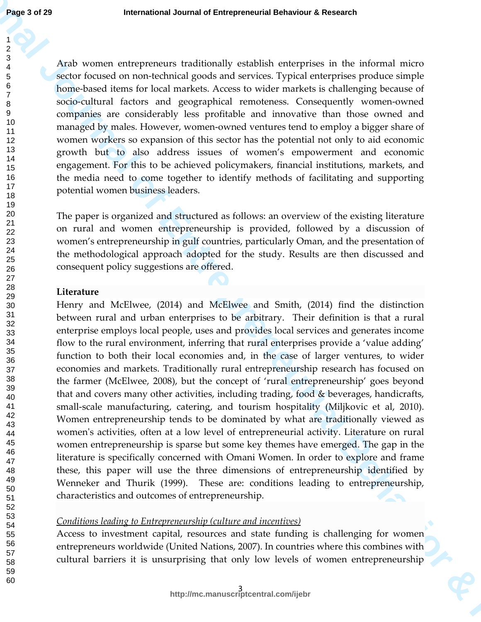Arab women entrepreneurs traditionally establish enterprises in the informal micro sector focused on non-technical goods and services. Typical enterprises produce simple home-based items for local markets. Access to wider markets is challenging because of socio-cultural factors and geographical remoteness. Consequently women-owned companies are considerably less profitable and innovative than those owned and managed by males. However, women-owned ventures tend to employ a bigger share of women workers so expansion of this sector has the potential not only to aid economic growth but to also address issues of women's empowerment and economic engagement. For this to be achieved policymakers, financial institutions, markets, and the media need to come together to identify methods of facilitating and supporting potential women business leaders.

The paper is organized and structured as follows: an overview of the existing literature on rural and women entrepreneurship is provided, followed by a discussion of women's entrepreneurship in gulf countries, particularly Oman, and the presentation of the methodological approach adopted for the study. Results are then discussed and consequent policy suggestions are offered.

#### **Literature**

**Page 16 49**<br> **International Journal of Entrepreneurial Behavior & Research**<br> **I** And women entrepreneuris traditionally establish enterprise in the informal internal<br>  $\frac{2}{5}$ <br>  $\frac{4}{5}$ <br>  $\frac{4}{5}$ <br>  $\frac{4}{5}$ <br>  $\frac{4}{5}$ Henry and McElwee, (2014) and McElwee and Smith, (2014) find the distinction between rural and urban enterprises to be arbitrary. Their definition is that a rural enterprise employs local people, uses and provides local services and generates income flow to the rural environment, inferring that rural enterprises provide a 'value adding' function to both their local economies and, in the case of larger ventures, to wider economies and markets. Traditionally rural entrepreneurship research has focused on the farmer (McElwee, 2008), but the concept of 'rural entrepreneurship' goes beyond that and covers many other activities, including trading, food & beverages, handicrafts, small-scale manufacturing, catering, and tourism hospitality (Miljkovic et al, 2010). Women entrepreneurship tends to be dominated by what are traditionally viewed as women's activities, often at a low level of entrepreneurial activity. Literature on rural women entrepreneurship is sparse but some key themes have emerged. The gap in the literature is specifically concerned with Omani Women. In order to explore and frame these, this paper will use the three dimensions of entrepreneurship identified by Wenneker and Thurik (1999). These are: conditions leading to entrepreneurship, characteristics and outcomes of entrepreneurship.

#### *Conditions leading to Entrepreneurship (culture and incentives)*

Access to investment capital, resources and state funding is challenging for women entrepreneurs worldwide (United Nations, 2007). In countries where this combines with cultural barriers it is unsurprising that only low levels of women entrepreneurship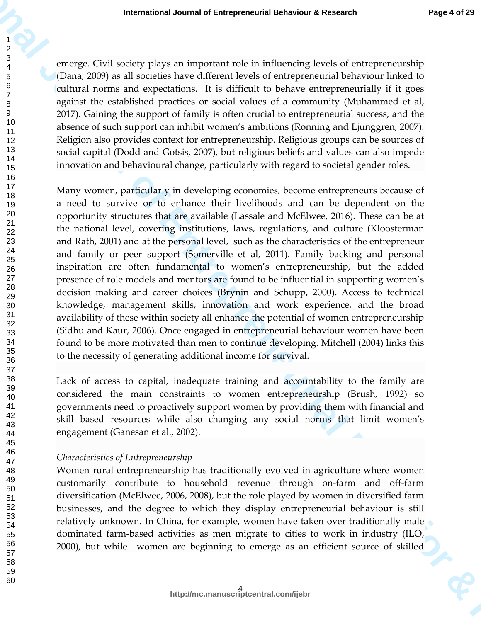emerge. Civil society plays an important role in influencing levels of entrepreneurship (Dana, 2009) as all societies have different levels of entrepreneurial behaviour linked to cultural norms and expectations. It is difficult to behave entrepreneurially if it goes against the established practices or social values of a community (Muhammed et al, 2017). Gaining the support of family is often crucial to entrepreneurial success, and the absence of such support can inhibit women's ambitions (Ronning and Ljunggren, 2007). Religion also provides context for entrepreneurship. Religious groups can be sources of social capital (Dodd and Gotsis, 2007), but religious beliefs and values can also impede innovation and behavioural change, particularly with regard to societal gender roles.

**International Journal of Entrepreneurial Behavior & Research<br>
<sup>2</sup><br>
2<br>
<b>International of the search of the search of the search of the search of the search of the search of the search of the search of the search of the sea** Many women, particularly in developing economies, become entrepreneurs because of a need to survive or to enhance their livelihoods and can be dependent on the opportunity structures that are available (Lassale and McElwee, 2016). These can be at the national level, covering institutions, laws, regulations, and culture (Kloosterman and Rath, 2001) and at the personal level, such as the characteristics of the entrepreneur and family or peer support (Somerville et al, 2011). Family backing and personal inspiration are often fundamental to women's entrepreneurship, but the added presence of role models and mentors are found to be influential in supporting women's decision making and career choices (Brynin and Schupp, 2000). Access to technical knowledge, management skills, innovation and work experience, and the broad availability of these within society all enhance the potential of women entrepreneurship (Sidhu and Kaur, 2006). Once engaged in entrepreneurial behaviour women have been found to be more motivated than men to continue developing. Mitchell (2004) links this to the necessity of generating additional income for survival.

Lack of access to capital, inadequate training and accountability to the family are considered the main constraints to women entrepreneurship (Brush, 1992) so governments need to proactively support women by providing them with financial and skill based resources while also changing any social norms that limit women's engagement (Ganesan et al., 2002).

#### *Characteristics of Entrepreneurship*

Women rural entrepreneurship has traditionally evolved in agriculture where women customarily contribute to household revenue through on-farm and off-farm diversification (McElwee, 2006, 2008), but the role played by women in diversified farm businesses, and the degree to which they display entrepreneurial behaviour is still relatively unknown. In China, for example, women have taken over traditionally male dominated farm-based activities as men migrate to cities to work in industry (ILO, 2000), but while women are beginning to emerge as an efficient source of skilled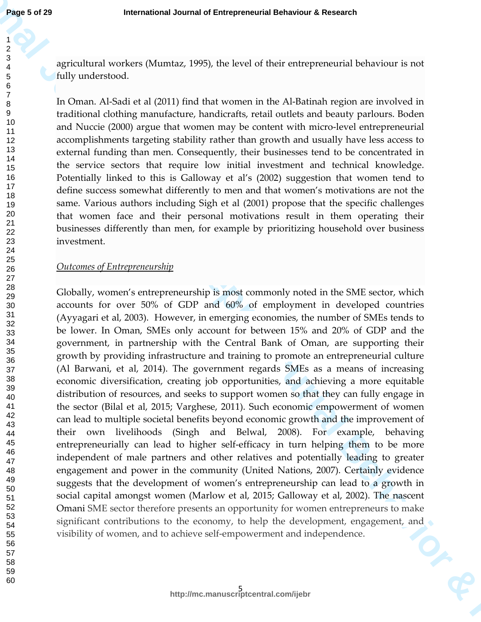agricultural workers (Mumtaz, 1995), the level of their entrepreneurial behaviour is not fully understood.

In Oman. Al-Sadi et al (2011) find that women in the Al-Batinah region are involved in traditional clothing manufacture, handicrafts, retail outlets and beauty parlours. Boden and Nuccie (2000) argue that women may be content with micro-level entrepreneurial accomplishments targeting stability rather than growth and usually have less access to external funding than men. Consequently, their businesses tend to be concentrated in the service sectors that require low initial investment and technical knowledge. Potentially linked to this is Galloway et al's (2002) suggestion that women tend to define success somewhat differently to men and that women's motivations are not the same. Various authors including Sigh et al (2001) propose that the specific challenges that women face and their personal motivations result in them operating their businesses differently than men, for example by prioritizing household over business investment.

#### *Outcomes of Entrepreneurship*

**Page 5 of 23**<br> **International Journal of Entrepreneurial Behavior & Research**<br> **I**  $\frac{2}{5}$ <br> **International Members (Munitary, 1985), the beneficient depresentations of investigation<br>
<b>I** to Distribute the all given the Globally, women's entrepreneurship is most commonly noted in the SME sector, which accounts for over 50% of GDP and 60% of employment in developed countries (Ayyagari et al, 2003). However, in emerging economies, the number of SMEs tends to be lower. In Oman, SMEs only account for between 15% and 20% of GDP and the government, in partnership with the Central Bank of Oman, are supporting their growth by providing infrastructure and training to promote an entrepreneurial culture (Al Barwani, et al, 2014). The government regards SMEs as a means of increasing economic diversification, creating job opportunities, and achieving a more equitable distribution of resources, and seeks to support women so that they can fully engage in the sector (Bilal et al, 2015; Varghese, 2011). Such economic empowerment of women can lead to multiple societal benefits beyond economic growth and the improvement of their own livelihoods (Singh and Belwal, 2008). For example, behaving entrepreneurially can lead to higher self-efficacy in turn helping them to be more independent of male partners and other relatives and potentially leading to greater engagement and power in the community (United Nations, 2007). Certainly evidence suggests that the development of women's entrepreneurship can lead to a growth in social capital amongst women (Marlow et al, 2015; Galloway et al, 2002). The nascent Omani SME sector therefore presents an opportunity for women entrepreneurs to make significant contributions to the economy, to help the development, engagement, and visibility of women, and to achieve self-empowerment and independence.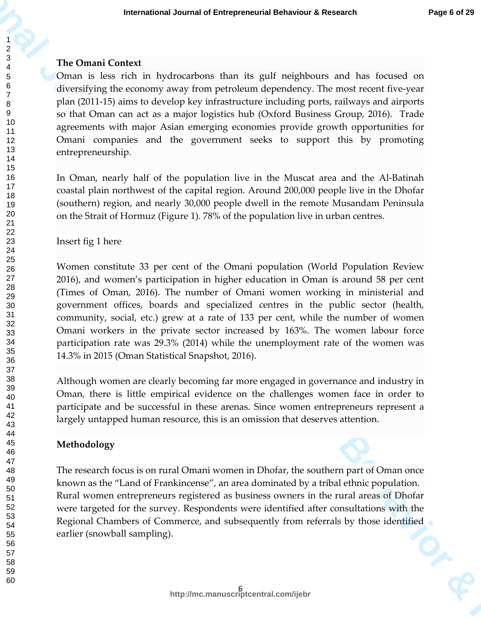### **The Omani Context**

Oman is less rich in hydrocarbons than its gulf neighbours and has focused on diversifying the economy away from petroleum dependency. The most recent five-year plan (2011-15) aims to develop key infrastructure including ports, railways and airports so that Oman can act as a major logistics hub (Oxford Business Group, 2016). Trade agreements with major Asian emerging economies provide growth opportunities for Omani companies and the government seeks to support this by promoting entrepreneurship.

In Oman, nearly half of the population live in the Muscat area and the Al-Batinah coastal plain northwest of the capital region. Around 200,000 people live in the Dhofar (southern) region, and nearly 30,000 people dwell in the remote Musandam Peninsula on the Strait of Hormuz (Figure 1). 78% of the population live in urban centres.

Insert fig 1 here

**International Journal of Entrepreneurial Behavior & Research<br>
<b>I The Omani** Context<br>
Cross is the respectively then the gali mapplement and base inverse of<br>
Cross is that Outside the international original periodic stat Women constitute 33 per cent of the Omani population (World Population Review 2016), and women's participation in higher education in Oman is around 58 per cent (Times of Oman, 2016). The number of Omani women working in ministerial and government offices, boards and specialized centres in the public sector (health, community, social, etc.) grew at a rate of 133 per cent, while the number of women Omani workers in the private sector increased by 163%. The women labour force participation rate was 29.3% (2014) while the unemployment rate of the women was 14.3% in 2015 (Oman Statistical Snapshot, 2016).

Although women are clearly becoming far more engaged in governance and industry in Oman, there is little empirical evidence on the challenges women face in order to participate and be successful in these arenas. Since women entrepreneurs represent a largely untapped human resource, this is an omission that deserves attention.

## **Methodology**

The research focus is on rural Omani women in Dhofar, the southern part of Oman once known as the "Land of Frankincense", an area dominated by a tribal ethnic population. Rural women entrepreneurs registered as business owners in the rural areas of Dhofar were targeted for the survey. Respondents were identified after consultations with the Regional Chambers of Commerce, and subsequently from referrals by those identified earlier (snowball sampling).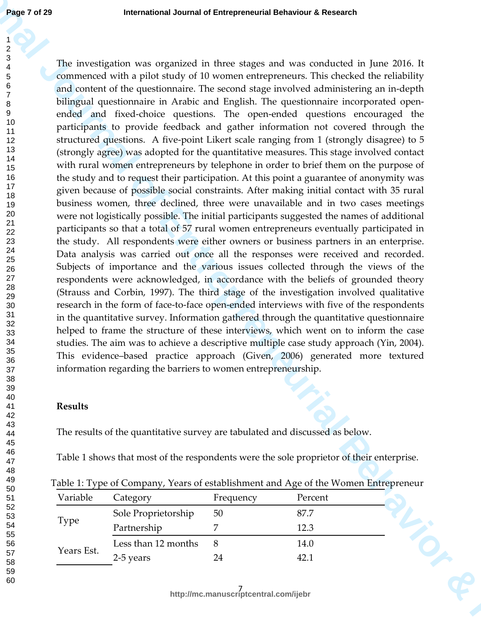**Page 7 of 23**<br> **International Journal of Entrepreneurial Behavior & Research<br>
16<br>
16<br>
17 The investigation was organized in Price stages and was conducted in both<br>aligned in the international of the second of the investi** The investigation was organized in three stages and was conducted in June 2016. It commenced with a pilot study of 10 women entrepreneurs. This checked the reliability and content of the questionnaire. The second stage involved administering an in-depth bilingual questionnaire in Arabic and English. The questionnaire incorporated openended and fixed-choice questions. The open-ended questions encouraged the participants to provide feedback and gather information not covered through the structured questions. A five-point Likert scale ranging from 1 (strongly disagree) to 5 (strongly agree) was adopted for the quantitative measures. This stage involved contact with rural women entrepreneurs by telephone in order to brief them on the purpose of the study and to request their participation. At this point a guarantee of anonymity was given because of possible social constraints. After making initial contact with 35 rural business women, three declined, three were unavailable and in two cases meetings were not logistically possible. The initial participants suggested the names of additional participants so that a total of 57 rural women entrepreneurs eventually participated in the study. All respondents were either owners or business partners in an enterprise. Data analysis was carried out once all the responses were received and recorded. Subjects of importance and the various issues collected through the views of the respondents were acknowledged, in accordance with the beliefs of grounded theory (Strauss and Corbin, 1997). The third stage of the investigation involved qualitative research in the form of face-to-face open-ended interviews with five of the respondents in the quantitative survey. Information gathered through the quantitative questionnaire helped to frame the structure of these interviews, which went on to inform the case studies. The aim was to achieve a descriptive multiple case study approach (Yin, 2004). This evidence–based practice approach (Given, 2006) generated more textured information regarding the barriers to women entrepreneurship.

#### **Results**

The results of the quantitative survey are tabulated and discussed as below.

Table 1 shows that most of the respondents were the sole proprietor of their enterprise.

| Variable   | Category            | Frequency | Percent |  |
|------------|---------------------|-----------|---------|--|
|            | Sole Proprietorship | 50        | 87.7    |  |
| Type       | Partnership         |           | 12.3    |  |
|            | Less than 12 months |           | 14.0    |  |
| Years Est. | 2-5 years           |           | 42.1    |  |

Table 1: Type of Company, Years of establishment and Age of the Women Entrepreneur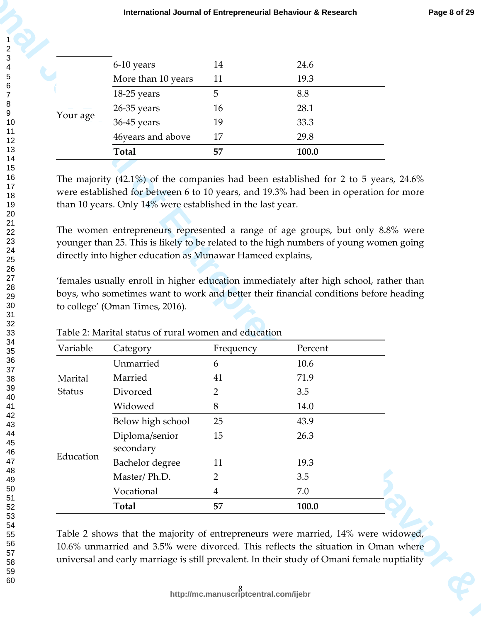|          | <b>Total</b>       | 57 | 100.0 |
|----------|--------------------|----|-------|
|          | 46years and above  | 17 | 29.8  |
| Your age | 36-45 years        | 19 | 33.3  |
|          | $26-35$ years      | 16 | 28.1  |
|          | $18-25$ years      | 5  | 8.8   |
|          | More than 10 years | 11 | 19.3  |
|          | $6-10$ years       | 14 | 24.6  |

|                   |                                                                                                                                                                                                                                                                                                                                                                                                                                                             |                | International Journal of Entrepreneurial Behaviour & Research |  |
|-------------------|-------------------------------------------------------------------------------------------------------------------------------------------------------------------------------------------------------------------------------------------------------------------------------------------------------------------------------------------------------------------------------------------------------------------------------------------------------------|----------------|---------------------------------------------------------------|--|
|                   |                                                                                                                                                                                                                                                                                                                                                                                                                                                             |                |                                                               |  |
|                   | 6-10 years                                                                                                                                                                                                                                                                                                                                                                                                                                                  | 14             | 24.6                                                          |  |
|                   | More than 10 years                                                                                                                                                                                                                                                                                                                                                                                                                                          | 11             | 19.3                                                          |  |
|                   | 18-25 years                                                                                                                                                                                                                                                                                                                                                                                                                                                 | 5              | 8.8                                                           |  |
|                   | 26-35 years                                                                                                                                                                                                                                                                                                                                                                                                                                                 | 16             | 28.1                                                          |  |
| Your age          | 36-45 years                                                                                                                                                                                                                                                                                                                                                                                                                                                 | 19             | 33.3                                                          |  |
|                   | 46years and above                                                                                                                                                                                                                                                                                                                                                                                                                                           | 17             | 29.8                                                          |  |
|                   | Total                                                                                                                                                                                                                                                                                                                                                                                                                                                       | 57             | 100.0                                                         |  |
|                   | than 10 years. Only 14% were established in the last year.                                                                                                                                                                                                                                                                                                                                                                                                  |                |                                                               |  |
|                   | The women entrepreneurs represented a range of age groups, but only 8.8% were<br>younger than 25. This is likely to be related to the high numbers of young women going<br>directly into higher education as Munawar Hameed explains,<br>'females usually enroll in higher education immediately after high school, rather than<br>boys, who sometimes want to work and better their financial conditions before heading<br>to college' (Oman Times, 2016). |                |                                                               |  |
| Variable          | Table 2: Marital status of rural women and education                                                                                                                                                                                                                                                                                                                                                                                                        |                | Percent                                                       |  |
|                   | Category<br>Unmarried                                                                                                                                                                                                                                                                                                                                                                                                                                       | Frequency<br>6 | 10.6                                                          |  |
|                   | Married                                                                                                                                                                                                                                                                                                                                                                                                                                                     | 41             | 71.9                                                          |  |
|                   | Divorced                                                                                                                                                                                                                                                                                                                                                                                                                                                    | 2              | 3.5                                                           |  |
|                   | Widowed                                                                                                                                                                                                                                                                                                                                                                                                                                                     | 8              | 14.0                                                          |  |
| Marital<br>Status | Below high school                                                                                                                                                                                                                                                                                                                                                                                                                                           | 25             | 43.9                                                          |  |
|                   | Diploma/senior                                                                                                                                                                                                                                                                                                                                                                                                                                              | 15             | 26.3                                                          |  |
|                   | secondary<br>Bachelor degree                                                                                                                                                                                                                                                                                                                                                                                                                                | 11             | 19.3                                                          |  |
|                   | Master/Ph.D.                                                                                                                                                                                                                                                                                                                                                                                                                                                | 2              | $3.5\,$                                                       |  |
| Education         | Vocational                                                                                                                                                                                                                                                                                                                                                                                                                                                  | 4              | 7.0                                                           |  |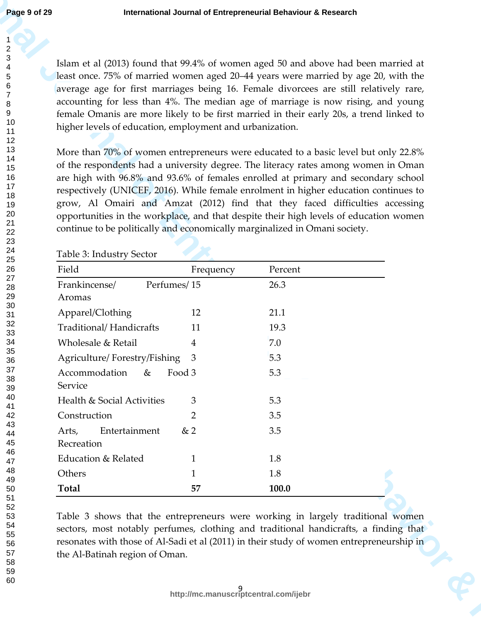| Page 9 of 29                                             |                                                                            |                | International Journal of Entrepreneurial Behaviour & Research |                                                                                                                                                                                                                                                                                                                                                                                                                                                                                                                                |
|----------------------------------------------------------|----------------------------------------------------------------------------|----------------|---------------------------------------------------------------|--------------------------------------------------------------------------------------------------------------------------------------------------------------------------------------------------------------------------------------------------------------------------------------------------------------------------------------------------------------------------------------------------------------------------------------------------------------------------------------------------------------------------------|
|                                                          |                                                                            |                |                                                               |                                                                                                                                                                                                                                                                                                                                                                                                                                                                                                                                |
|                                                          | higher levels of education, employment and urbanization.                   |                |                                                               | Islam et al (2013) found that 99.4% of women aged 50 and above had been married at<br>least once. 75% of married women aged 20–44 years were married by age 20, with the<br>average age for first marriages being 16. Female divorcees are still relatively rare,<br>accounting for less than 4%. The median age of marriage is now rising, and young<br>female Omanis are more likely to be first married in their early 20s, a trend linked to                                                                               |
| 12<br>13<br>14<br>15<br>16<br>17<br>18<br>19<br>20<br>22 | continue to be politically and economically marginalized in Omani society. |                |                                                               | More than 70% of women entrepreneurs were educated to a basic level but only 22.8%<br>of the respondents had a university degree. The literacy rates among women in Oman<br>are high with 96.8% and 93.6% of females enrolled at primary and secondary school<br>respectively (UNICEF, 2016). While female enrolment in higher education continues to<br>grow, Al Omairi and Amzat (2012) find that they faced difficulties accessing<br>opportunities in the workplace, and that despite their high levels of education women |
| 23<br>24                                                 | Table 3: Industry Sector                                                   |                |                                                               |                                                                                                                                                                                                                                                                                                                                                                                                                                                                                                                                |
| 25<br>$26\,$                                             | Field                                                                      | Frequency      | Percent                                                       |                                                                                                                                                                                                                                                                                                                                                                                                                                                                                                                                |
| 27<br>28<br>29                                           | Frankincense/<br>Aromas                                                    | Perfumes/15    | 26.3                                                          |                                                                                                                                                                                                                                                                                                                                                                                                                                                                                                                                |
| $30\,$                                                   | Apparel/Clothing                                                           | 12             | 21.1                                                          |                                                                                                                                                                                                                                                                                                                                                                                                                                                                                                                                |
|                                                          | Traditional/Handicrafts                                                    | 11             | 19.3                                                          |                                                                                                                                                                                                                                                                                                                                                                                                                                                                                                                                |
|                                                          | Wholesale & Retail                                                         | $\overline{4}$ | 7.0                                                           |                                                                                                                                                                                                                                                                                                                                                                                                                                                                                                                                |
|                                                          | Agriculture/Forestry/Fishing 3                                             |                | 5.3                                                           |                                                                                                                                                                                                                                                                                                                                                                                                                                                                                                                                |
|                                                          | Accommodation<br>&<br>Service                                              | Food 3         | 5.3                                                           |                                                                                                                                                                                                                                                                                                                                                                                                                                                                                                                                |
|                                                          | Health & Social Activities                                                 | 3              | 5.3                                                           |                                                                                                                                                                                                                                                                                                                                                                                                                                                                                                                                |
|                                                          | Construction                                                               | $\overline{2}$ | 3.5                                                           |                                                                                                                                                                                                                                                                                                                                                                                                                                                                                                                                |
|                                                          | Entertainment<br>Arts,<br>Recreation                                       | & 2            | 3.5                                                           |                                                                                                                                                                                                                                                                                                                                                                                                                                                                                                                                |
|                                                          | Education & Related                                                        |                | 1.8                                                           |                                                                                                                                                                                                                                                                                                                                                                                                                                                                                                                                |
|                                                          | Others                                                                     |                | 1.8                                                           |                                                                                                                                                                                                                                                                                                                                                                                                                                                                                                                                |
|                                                          | Total                                                                      | 57             | 100.0                                                         |                                                                                                                                                                                                                                                                                                                                                                                                                                                                                                                                |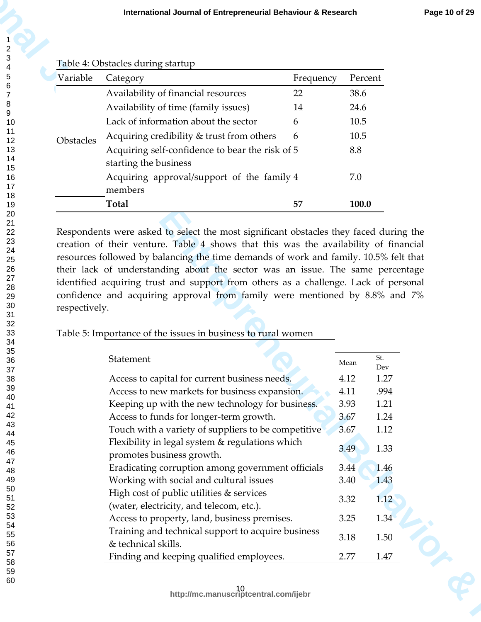| Variable  | Category                                                                 | Frequency | Percent |
|-----------|--------------------------------------------------------------------------|-----------|---------|
|           | Availability of financial resources                                      | 22        | 38.6    |
|           | Availability of time (family issues)                                     | 14        | 24.6    |
|           | Lack of information about the sector                                     | 6         | 10.5    |
| Obstacles | Acquiring credibility & trust from others                                | 6         | 10.5    |
|           | Acquiring self-confidence to bear the risk of 5<br>starting the business |           | 8.8     |
|           | Acquiring approval/support of the family 4<br>members                    |           | 7.0     |
|           | Total                                                                    | 57        | 100.0   |

#### Table 5: Importance of the issues in business to rural women

|               | Table 4: Obstacles during startup                                                                                                                                                                                                                                                                                                                                                                                                                                                                                             |           |              |              |
|---------------|-------------------------------------------------------------------------------------------------------------------------------------------------------------------------------------------------------------------------------------------------------------------------------------------------------------------------------------------------------------------------------------------------------------------------------------------------------------------------------------------------------------------------------|-----------|--------------|--------------|
| Variable      | Category                                                                                                                                                                                                                                                                                                                                                                                                                                                                                                                      | Frequency | Percent      |              |
|               | Availability of financial resources                                                                                                                                                                                                                                                                                                                                                                                                                                                                                           | 22        | 38.6         |              |
|               | Availability of time (family issues)                                                                                                                                                                                                                                                                                                                                                                                                                                                                                          | 14        | 24.6         |              |
|               | Lack of information about the sector                                                                                                                                                                                                                                                                                                                                                                                                                                                                                          | 6         | 10.5         |              |
| Obstacles     | Acquiring credibility & trust from others                                                                                                                                                                                                                                                                                                                                                                                                                                                                                     | 6         | 10.5         |              |
|               | Acquiring self-confidence to bear the risk of 5<br>starting the business                                                                                                                                                                                                                                                                                                                                                                                                                                                      |           | 8.8          |              |
|               | Acquiring approval/support of the family 4<br>members                                                                                                                                                                                                                                                                                                                                                                                                                                                                         |           | 7.0          |              |
|               | <b>Total</b>                                                                                                                                                                                                                                                                                                                                                                                                                                                                                                                  | 57        | 100.0        |              |
|               |                                                                                                                                                                                                                                                                                                                                                                                                                                                                                                                               |           |              |              |
| respectively. | Respondents were asked to select the most significant obstacles they faced during the<br>creation of their venture. Table 4 shows that this was the availability of financial<br>resources followed by balancing the time demands of work and family. 10.5% felt that<br>their lack of understanding about the sector was an issue. The same percentage<br>identified acquiring trust and support from others as a challenge. Lack of personal<br>confidence and acquiring approval from family were mentioned by 8.8% and 7% |           |              |              |
|               | Table 5: Importance of the issues in business to rural women                                                                                                                                                                                                                                                                                                                                                                                                                                                                  |           |              |              |
|               | Statement                                                                                                                                                                                                                                                                                                                                                                                                                                                                                                                     |           | Mean         | St.          |
|               | Access to capital for current business needs.                                                                                                                                                                                                                                                                                                                                                                                                                                                                                 |           | 4.12         | Dev<br>1.27  |
|               | Access to new markets for business expansion.                                                                                                                                                                                                                                                                                                                                                                                                                                                                                 |           | 4.11         | .994         |
|               | Keeping up with the new technology for business.                                                                                                                                                                                                                                                                                                                                                                                                                                                                              |           | 3.93         | 1.21         |
|               | Access to funds for longer-term growth.                                                                                                                                                                                                                                                                                                                                                                                                                                                                                       |           | 3.67         | 1.24         |
|               | Touch with a variety of suppliers to be competitive                                                                                                                                                                                                                                                                                                                                                                                                                                                                           |           | 3.67         | 1.12         |
|               | Flexibility in legal system & regulations which                                                                                                                                                                                                                                                                                                                                                                                                                                                                               |           | 3.49         | 1.33         |
|               | promotes business growth.                                                                                                                                                                                                                                                                                                                                                                                                                                                                                                     |           | 3.44         | 1.46         |
|               | Eradicating corruption among government officials<br>Working with social and cultural issues                                                                                                                                                                                                                                                                                                                                                                                                                                  |           | 3.40         | 1.43         |
|               | High cost of public utilities & services                                                                                                                                                                                                                                                                                                                                                                                                                                                                                      |           |              |              |
|               | (water, electricity, and telecom, etc.).                                                                                                                                                                                                                                                                                                                                                                                                                                                                                      |           | 3.32         | 1.12         |
|               | Access to property, land, business premises.                                                                                                                                                                                                                                                                                                                                                                                                                                                                                  |           | 3.25         | 1.34         |
|               | Training and technical support to acquire business<br>& technical skills.<br>Finding and keeping qualified employees.                                                                                                                                                                                                                                                                                                                                                                                                         |           | 3.18<br>2.77 | 1.50<br>1.47 |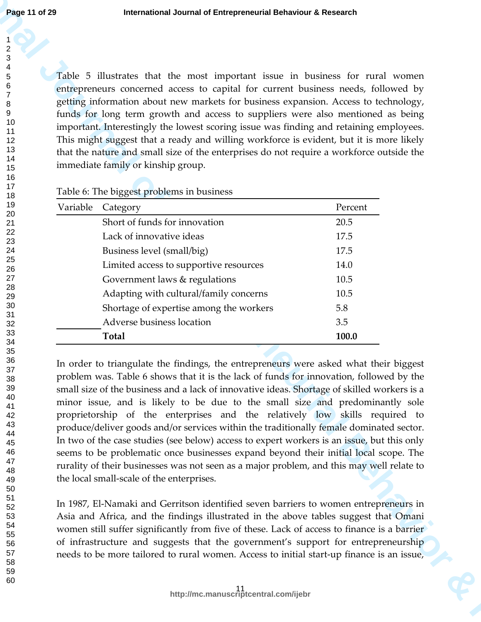| Page 11 of 29<br>International Journal of Entrepreneurial Behaviour & Research                                                                                                                                                                                                                                                                                                                                                                                                                                                                                                                                                                                                                                                                                                                                                                                                                                                                                                                                                                                                                                                                        |              |
|-------------------------------------------------------------------------------------------------------------------------------------------------------------------------------------------------------------------------------------------------------------------------------------------------------------------------------------------------------------------------------------------------------------------------------------------------------------------------------------------------------------------------------------------------------------------------------------------------------------------------------------------------------------------------------------------------------------------------------------------------------------------------------------------------------------------------------------------------------------------------------------------------------------------------------------------------------------------------------------------------------------------------------------------------------------------------------------------------------------------------------------------------------|--------------|
|                                                                                                                                                                                                                                                                                                                                                                                                                                                                                                                                                                                                                                                                                                                                                                                                                                                                                                                                                                                                                                                                                                                                                       |              |
|                                                                                                                                                                                                                                                                                                                                                                                                                                                                                                                                                                                                                                                                                                                                                                                                                                                                                                                                                                                                                                                                                                                                                       |              |
| Table 5 illustrates that the most important issue in business for rural women<br>entrepreneurs concerned access to capital for current business needs, followed by<br>getting information about new markets for business expansion. Access to technology,<br>funds for long term growth and access to suppliers were also mentioned as being<br>important. Interestingly the lowest scoring issue was finding and retaining employees.<br>This might suggest that a ready and willing workforce is evident, but it is more likely<br>that the nature and small size of the enterprises do not require a workforce outside the<br>immediate family or kinship group.                                                                                                                                                                                                                                                                                                                                                                                                                                                                                   |              |
|                                                                                                                                                                                                                                                                                                                                                                                                                                                                                                                                                                                                                                                                                                                                                                                                                                                                                                                                                                                                                                                                                                                                                       |              |
| Table 6: The biggest problems in business<br>Variable Category                                                                                                                                                                                                                                                                                                                                                                                                                                                                                                                                                                                                                                                                                                                                                                                                                                                                                                                                                                                                                                                                                        | Percent      |
| Short of funds for innovation                                                                                                                                                                                                                                                                                                                                                                                                                                                                                                                                                                                                                                                                                                                                                                                                                                                                                                                                                                                                                                                                                                                         |              |
| Lack of innovative ideas                                                                                                                                                                                                                                                                                                                                                                                                                                                                                                                                                                                                                                                                                                                                                                                                                                                                                                                                                                                                                                                                                                                              | 20.5<br>17.5 |
| Business level (small/big)                                                                                                                                                                                                                                                                                                                                                                                                                                                                                                                                                                                                                                                                                                                                                                                                                                                                                                                                                                                                                                                                                                                            | 17.5         |
| Limited access to supportive resources                                                                                                                                                                                                                                                                                                                                                                                                                                                                                                                                                                                                                                                                                                                                                                                                                                                                                                                                                                                                                                                                                                                | 14.0         |
| Government laws & regulations                                                                                                                                                                                                                                                                                                                                                                                                                                                                                                                                                                                                                                                                                                                                                                                                                                                                                                                                                                                                                                                                                                                         | 10.5         |
| Adapting with cultural/family concerns                                                                                                                                                                                                                                                                                                                                                                                                                                                                                                                                                                                                                                                                                                                                                                                                                                                                                                                                                                                                                                                                                                                | 10.5         |
| Shortage of expertise among the workers                                                                                                                                                                                                                                                                                                                                                                                                                                                                                                                                                                                                                                                                                                                                                                                                                                                                                                                                                                                                                                                                                                               | 5.8          |
| Adverse business location                                                                                                                                                                                                                                                                                                                                                                                                                                                                                                                                                                                                                                                                                                                                                                                                                                                                                                                                                                                                                                                                                                                             | 3.5          |
| <b>Total</b>                                                                                                                                                                                                                                                                                                                                                                                                                                                                                                                                                                                                                                                                                                                                                                                                                                                                                                                                                                                                                                                                                                                                          | 100.0        |
| problem was. Table 6 shows that it is the lack of funds for innovation, followed by the<br>small size of the business and a lack of innovative ideas. Shortage of skilled workers is a<br>minor issue, and is likely to be due to the small size and predominantly sole<br>proprietorship of the enterprises and the relatively low skills required to<br>produce/deliver goods and/or services within the traditionally female dominated sector.<br>In two of the case studies (see below) access to expert workers is an issue, but this only<br>seems to be problematic once businesses expand beyond their initial local scope. The<br>rurality of their businesses was not seen as a major problem, and this may well relate to<br>the local small-scale of the enterprises.<br>In 1987, El-Namaki and Gerritson identified seven barriers to women entrepreneurs in<br>Asia and Africa, and the findings illustrated in the above tables suggest that Omani<br>women still suffer significantly from five of these. Lack of access to finance is a barrier<br>of infrastructure and suggests that the government's support for entrepreneurship |              |
| needs to be more tailored to rural women. Access to initial start-up finance is an issue,                                                                                                                                                                                                                                                                                                                                                                                                                                                                                                                                                                                                                                                                                                                                                                                                                                                                                                                                                                                                                                                             |              |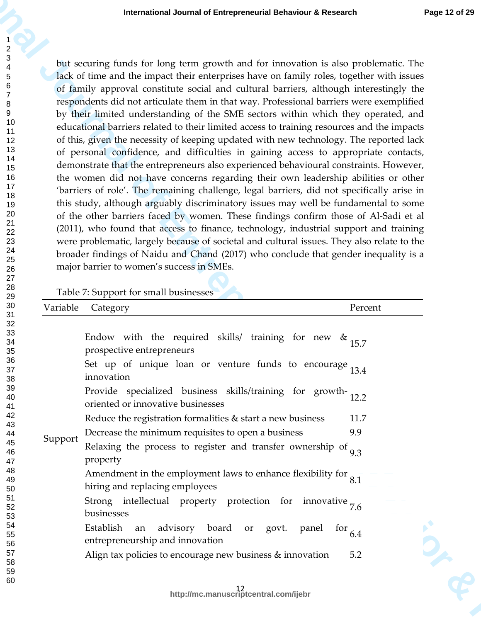|          | International Journal of Entrepreneurial Behaviour & Research                                                                                                                                                                                                                                                                                                                                                                                                                                                                                                                                                                                                                                                                                                                                                                                                                                                                                                                                                                                                                                                                                                                                                                                                                                                                                                                                                                                                                                                                 |             | Page 12 of 29 |
|----------|-------------------------------------------------------------------------------------------------------------------------------------------------------------------------------------------------------------------------------------------------------------------------------------------------------------------------------------------------------------------------------------------------------------------------------------------------------------------------------------------------------------------------------------------------------------------------------------------------------------------------------------------------------------------------------------------------------------------------------------------------------------------------------------------------------------------------------------------------------------------------------------------------------------------------------------------------------------------------------------------------------------------------------------------------------------------------------------------------------------------------------------------------------------------------------------------------------------------------------------------------------------------------------------------------------------------------------------------------------------------------------------------------------------------------------------------------------------------------------------------------------------------------------|-------------|---------------|
|          |                                                                                                                                                                                                                                                                                                                                                                                                                                                                                                                                                                                                                                                                                                                                                                                                                                                                                                                                                                                                                                                                                                                                                                                                                                                                                                                                                                                                                                                                                                                               |             |               |
|          | but securing funds for long term growth and for innovation is also problematic. The<br>lack of time and the impact their enterprises have on family roles, together with issues<br>of family approval constitute social and cultural barriers, although interestingly the<br>respondents did not articulate them in that way. Professional barriers were exemplified<br>by their limited understanding of the SME sectors within which they operated, and<br>educational barriers related to their limited access to training resources and the impacts<br>of this, given the necessity of keeping updated with new technology. The reported lack<br>of personal confidence, and difficulties in gaining access to appropriate contacts,<br>demonstrate that the entrepreneurs also experienced behavioural constraints. However,<br>the women did not have concerns regarding their own leadership abilities or other<br>'barriers of role'. The remaining challenge, legal barriers, did not specifically arise in<br>this study, although arguably discriminatory issues may well be fundamental to some<br>of the other barriers faced by women. These findings confirm those of Al-Sadi et al<br>(2011), who found that access to finance, technology, industrial support and training<br>were problematic, largely because of societal and cultural issues. They also relate to the<br>broader findings of Naidu and Chand (2017) who conclude that gender inequality is a<br>major barrier to women's success in SMEs. |             |               |
|          |                                                                                                                                                                                                                                                                                                                                                                                                                                                                                                                                                                                                                                                                                                                                                                                                                                                                                                                                                                                                                                                                                                                                                                                                                                                                                                                                                                                                                                                                                                                               |             |               |
| Variable | Table 7: Support for small businesses<br>Category                                                                                                                                                                                                                                                                                                                                                                                                                                                                                                                                                                                                                                                                                                                                                                                                                                                                                                                                                                                                                                                                                                                                                                                                                                                                                                                                                                                                                                                                             | Percent     |               |
| Support  | Endow with the required skills/ training for new $\&$ 15.7<br>prospective entrepreneurs<br>Set up of unique loan or venture funds to encourage $_{13.4}$<br>innovation<br>Provide specialized business skills/training for growth-<br>12.2<br>oriented or innovative businesses<br>Reduce the registration formalities & start a new business<br>Decrease the minimum requisites to open a business<br>Relaxing the process to register and transfer ownership of $9.3$<br>property<br>Amendment in the employment laws to enhance flexibility for $_{8.1}$<br>hiring and replacing employees<br>Strong intellectual property protection for innovative $7.6$                                                                                                                                                                                                                                                                                                                                                                                                                                                                                                                                                                                                                                                                                                                                                                                                                                                                 | 11.7<br>9.9 |               |
|          |                                                                                                                                                                                                                                                                                                                                                                                                                                                                                                                                                                                                                                                                                                                                                                                                                                                                                                                                                                                                                                                                                                                                                                                                                                                                                                                                                                                                                                                                                                                               |             |               |
|          | businesses<br>Establish an advisory board or<br>govt.<br>panel<br>for $6.4$<br>entrepreneurship and innovation<br>Align tax policies to encourage new business & innovation                                                                                                                                                                                                                                                                                                                                                                                                                                                                                                                                                                                                                                                                                                                                                                                                                                                                                                                                                                                                                                                                                                                                                                                                                                                                                                                                                   | 5.2         |               |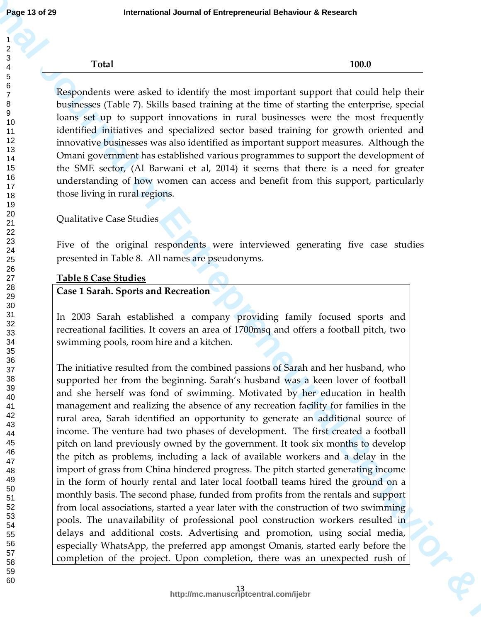**Total 100.0**

Respondents were asked to identify the most important support that could help their businesses (Table 7). Skills based training at the time of starting the enterprise, special loans set up to support innovations in rural businesses were the most frequently identified initiatives and specialized sector based training for growth oriented and innovative businesses was also identified as important support measures. Although the Omani government has established various programmes to support the development of the SME sector, (Al Barwani et al, 2014) it seems that there is a need for greater understanding of how women can access and benefit from this support, particularly those living in rural regions.

Qualitative Case Studies

Five of the original respondents were interviewed generating five case studies presented in Table 8. All names are pseudonyms.

#### **Table 8 Case Studies**

#### **Case 1 Sarah. Sports and Recreation**

In 2003 Sarah established a company providing family focused sports and recreational facilities. It covers an area of 1700msq and offers a football pitch, two swimming pools, room hire and a kitchen.

**Page 13 of 28**<br> **International Journal of Entrepreneurial Behavior & Research<br>
<b>International of Equational Science (16 of Fig. 2014)**<br> **International of Equational Science (16 of Fig. 2014)**<br> **International of Equationa** The initiative resulted from the combined passions of Sarah and her husband, who supported her from the beginning. Sarah's husband was a keen lover of football and she herself was fond of swimming. Motivated by her education in health management and realizing the absence of any recreation facility for families in the rural area, Sarah identified an opportunity to generate an additional source of income. The venture had two phases of development. The first created a football pitch on land previously owned by the government. It took six months to develop the pitch as problems, including a lack of available workers and a delay in the import of grass from China hindered progress. The pitch started generating income in the form of hourly rental and later local football teams hired the ground on a monthly basis. The second phase, funded from profits from the rentals and support from local associations, started a year later with the construction of two swimming pools. The unavailability of professional pool construction workers resulted in delays and additional costs. Advertising and promotion, using social media, especially WhatsApp, the preferred app amongst Omanis, started early before the completion of the project. Upon completion, there was an unexpected rush of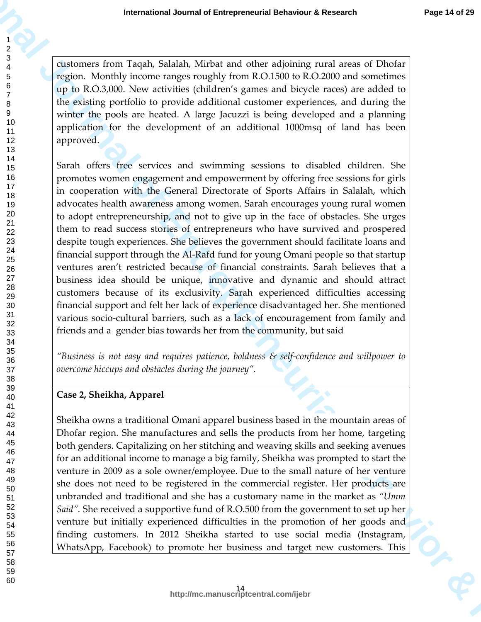customers from Taqah, Salalah, Mirbat and other adjoining rural areas of Dhofar region. Monthly income ranges roughly from R.O.1500 to R.O.2000 and sometimes up to R.O.3,000. New activities (children's games and bicycle races) are added to the existing portfolio to provide additional customer experiences, and during the winter the pools are heated. A large Jacuzzi is being developed and a planning application for the development of an additional 1000msq of land has been approved.

**International Journal of Entrepreneurial Behavior & Research**<br> **International of Entrepreneurial Behavior & Research**<br> **International of Entrepreneurial Behavior Scheme and Associations of the Context<br>
<b>International of E** Sarah offers free services and swimming sessions to disabled children. She promotes women engagement and empowerment by offering free sessions for girls in cooperation with the General Directorate of Sports Affairs in Salalah, which advocates health awareness among women. Sarah encourages young rural women to adopt entrepreneurship, and not to give up in the face of obstacles. She urges them to read success stories of entrepreneurs who have survived and prospered despite tough experiences. She believes the government should facilitate loans and financial support through the Al-Rafd fund for young Omani people so that startup ventures aren't restricted because of financial constraints. Sarah believes that a business idea should be unique, innovative and dynamic and should attract customers because of its exclusivity. Sarah experienced difficulties accessing financial support and felt her lack of experience disadvantaged her. She mentioned various socio-cultural barriers, such as a lack of encouragement from family and friends and a gender bias towards her from the community, but said

*"Business is not easy and requires patience, boldness & self-confidence and willpower to overcome hiccups and obstacles during the journey".*

## **Case 2, Sheikha, Apparel**

Sheikha owns a traditional Omani apparel business based in the mountain areas of Dhofar region. She manufactures and sells the products from her home, targeting both genders. Capitalizing on her stitching and weaving skills and seeking avenues for an additional income to manage a big family, Sheikha was prompted to start the venture in 2009 as a sole owner/employee. Due to the small nature of her venture she does not need to be registered in the commercial register. Her products are unbranded and traditional and she has a customary name in the market as *"Umm Said".* She received a supportive fund of R.O.500 from the government to set up her venture but initially experienced difficulties in the promotion of her goods and finding customers. In 2012 Sheikha started to use social media (Instagram, WhatsApp, Facebook) to promote her business and target new customers. This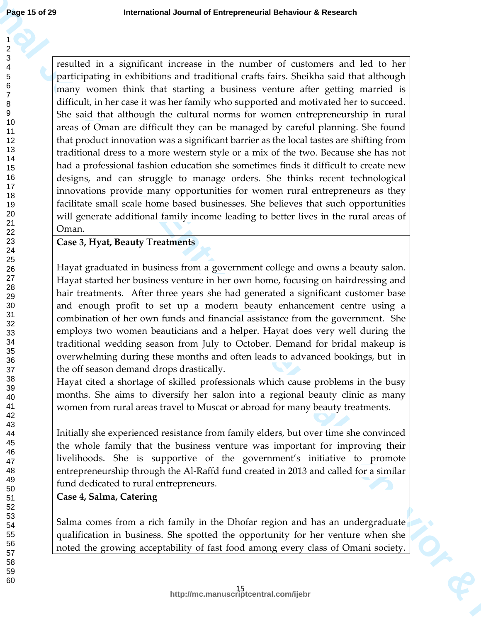**Page 15 of 28**<br> **International Journal of Entrepreneurial Behavior & Research**<br> **I** consider the state of the state of the state of the state of the state of the state of performance is<br> **I** consider the state of the sta resulted in a significant increase in the number of customers and led to her participating in exhibitions and traditional crafts fairs. Sheikha said that although many women think that starting a business venture after getting married is difficult, in her case it was her family who supported and motivated her to succeed. She said that although the cultural norms for women entrepreneurship in rural areas of Oman are difficult they can be managed by careful planning. She found that product innovation was a significant barrier as the local tastes are shifting from traditional dress to a more western style or a mix of the two. Because she has not had a professional fashion education she sometimes finds it difficult to create new designs, and can struggle to manage orders. She thinks recent technological innovations provide many opportunities for women rural entrepreneurs as they facilitate small scale home based businesses. She believes that such opportunities will generate additional family income leading to better lives in the rural areas of Oman.

### **Case 3, Hyat, Beauty Treatments**

Hayat graduated in business from a government college and owns a beauty salon. Hayat started her business venture in her own home, focusing on hairdressing and hair treatments. After three years she had generated a significant customer base and enough profit to set up a modern beauty enhancement centre using a combination of her own funds and financial assistance from the government. She employs two women beauticians and a helper. Hayat does very well during the traditional wedding season from July to October. Demand for bridal makeup is overwhelming during these months and often leads to advanced bookings, but in the off season demand drops drastically.

Hayat cited a shortage of skilled professionals which cause problems in the busy months. She aims to diversify her salon into a regional beauty clinic as many women from rural areas travel to Muscat or abroad for many beauty treatments.

Initially she experienced resistance from family elders, but over time she convinced the whole family that the business venture was important for improving their livelihoods. She is supportive of the government's initiative to promote entrepreneurship through the Al-Raffd fund created in 2013 and called for a similar fund dedicated to rural entrepreneurs.

### **Case 4, Salma, Catering**

Salma comes from a rich family in the Dhofar region and has an undergraduate qualification in business. She spotted the opportunity for her venture when she noted the growing acceptability of fast food among every class of Omani society.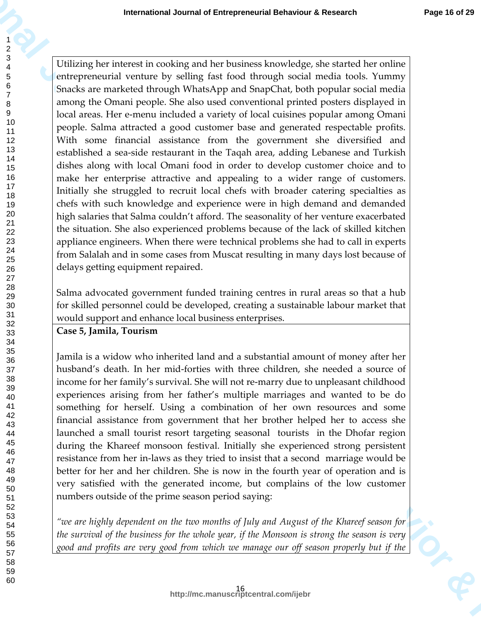**International Journal of Entrepreneurial Behavior & Research**<br> **I** Collideral general of the collideral and bet but<br>another specified and look Neuring collideral of the collideral of the<br>
collideral of the collideral of t Utilizing her interest in cooking and her business knowledge, she started her online entrepreneurial venture by selling fast food through social media tools. Yummy Snacks are marketed through WhatsApp and SnapChat, both popular social media among the Omani people. She also used conventional printed posters displayed in local areas. Her e-menu included a variety of local cuisines popular among Omani people. Salma attracted a good customer base and generated respectable profits. With some financial assistance from the government she diversified and established a sea-side restaurant in the Taqah area, adding Lebanese and Turkish dishes along with local Omani food in order to develop customer choice and to make her enterprise attractive and appealing to a wider range of customers. Initially she struggled to recruit local chefs with broader catering specialties as chefs with such knowledge and experience were in high demand and demanded high salaries that Salma couldn't afford. The seasonality of her venture exacerbated the situation. She also experienced problems because of the lack of skilled kitchen appliance engineers. When there were technical problems she had to call in experts from Salalah and in some cases from Muscat resulting in many days lost because of delays getting equipment repaired.

Salma advocated government funded training centres in rural areas so that a hub for skilled personnel could be developed, creating a sustainable labour market that would support and enhance local business enterprises.

**Case 5, Jamila, Tourism**

Jamila is a widow who inherited land and a substantial amount of money after her husband's death. In her mid-forties with three children, she needed a source of income for her family's survival. She will not re-marry due to unpleasant childhood experiences arising from her father's multiple marriages and wanted to be do something for herself. Using a combination of her own resources and some financial assistance from government that her brother helped her to access she launched a small tourist resort targeting seasonal tourists in the Dhofar region during the Khareef monsoon festival. Initially she experienced strong persistent resistance from her in-laws as they tried to insist that a second marriage would be better for her and her children. She is now in the fourth year of operation and is very satisfied with the generated income, but complains of the low customer numbers outside of the prime season period saying:

*"we are highly dependent on the two months of July and August of the Khareef season for the survival of the business for the whole year, if the Monsoon is strong the season is very good and profits are very good from which we manage our off season properly but if the*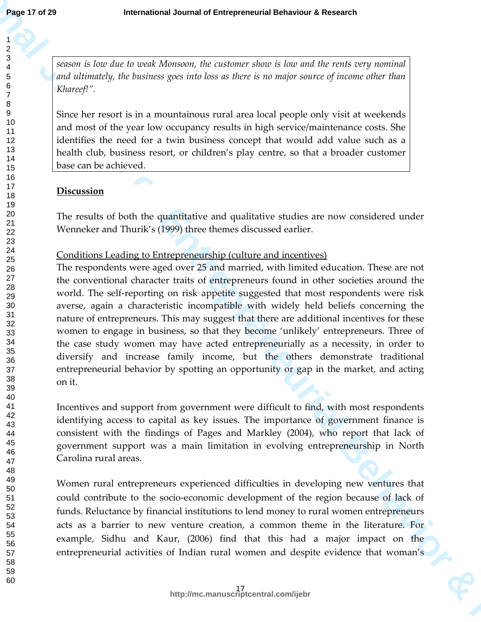*season is low due to weak Monsoon, the customer show is low and the rents very nominal and ultimately, the business goes into loss as there is no major source of income other than Khareef!".*

Since her resort is in a mountainous rural area local people only visit at weekends and most of the year low occupancy results in high service/maintenance costs. She identifies the need for a twin business concept that would add value such as a health club, business resort, or children's play centre, so that a broader customer base can be achieved.

## **Discussion**

The results of both the quantitative and qualitative studies are now considered under Wenneker and Thurik's (1999) three themes discussed earlier.

## Conditions Leading to Entrepreneurship (culture and incentives)

**Page 17 of 28**<br> **International Journal of Entrepreneurial Behavior & Research<br>
2<br>
<b>Example:**<br> **International Memory, the conjunct since as low right wave of the rest of the second<br>
of the control of the second stress of** The respondents were aged over 25 and married, with limited education. These are not the conventional character traits of entrepreneurs found in other societies around the world. The self-reporting on risk appetite suggested that most respondents were risk averse, again a characteristic incompatible with widely held beliefs concerning the nature of entrepreneurs. This may suggest that there are additional incentives for these women to engage in business, so that they become 'unlikely' entrepreneurs. Three of the case study women may have acted entrepreneurially as a necessity, in order to diversify and increase family income, but the others demonstrate traditional entrepreneurial behavior by spotting an opportunity or gap in the market, and acting on it.

Incentives and support from government were difficult to find, with most respondents identifying access to capital as key issues. The importance of government finance is consistent with the findings of Pages and Markley (2004), who report that lack of government support was a main limitation in evolving entrepreneurship in North Carolina rural areas.

Women rural entrepreneurs experienced difficulties in developing new ventures that could contribute to the socio-economic development of the region because of lack of funds. Reluctance by financial institutions to lend money to rural women entrepreneurs acts as a barrier to new venture creation, a common theme in the literature. For example, Sidhu and Kaur, (2006) find that this had a major impact on the entrepreneurial activities of Indian rural women and despite evidence that woman's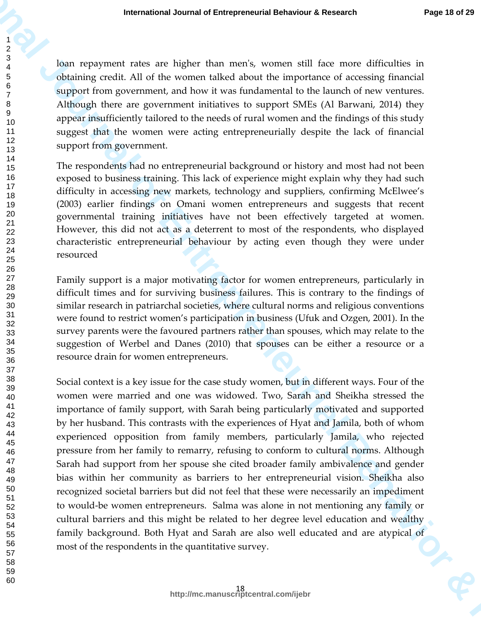loan repayment rates are higher than men's, women still face more difficulties in obtaining credit. All of the women talked about the importance of accessing financial support from government, and how it was fundamental to the launch of new ventures. Although there are government initiatives to support SMEs (Al Barwani, 2014) they appear insufficiently tailored to the needs of rural women and the findings of this study suggest that the women were acting entrepreneurially despite the lack of financial support from government.

The respondents had no entrepreneurial background or history and most had not been exposed to business training. This lack of experience might explain why they had such difficulty in accessing new markets, technology and suppliers, confirming McElwee's (2003) earlier findings on Omani women entrepreneurs and suggests that recent governmental training initiatives have not been effectively targeted at women. However, this did not act as a deterrent to most of the respondents, who displayed characteristic entrepreneurial behaviour by acting even though they were under resourced

Family support is a major motivating factor for women entrepreneurs, particularly in difficult times and for surviving business failures. This is contrary to the findings of similar research in patriarchal societies, where cultural norms and religious conventions were found to restrict women's participation in business (Ufuk and Ozgen, 2001). In the survey parents were the favoured partners rather than spouses, which may relate to the suggestion of Werbel and Danes (2010) that spouses can be either a resource or a resource drain for women entrepreneurs.

**International Journal of Entrepreneurial Behavior & Research<br>
<b>I** Assumption the second statistical of the second statistical of the second difference of the second statistical of the second of the second statistical stat Social context is a key issue for the case study women, but in different ways. Four of the women were married and one was widowed. Two, Sarah and Sheikha stressed the importance of family support, with Sarah being particularly motivated and supported by her husband. This contrasts with the experiences of Hyat and Jamila, both of whom experienced opposition from family members, particularly Jamila, who rejected pressure from her family to remarry, refusing to conform to cultural norms. Although Sarah had support from her spouse she cited broader family ambivalence and gender bias within her community as barriers to her entrepreneurial vision. Sheikha also recognized societal barriers but did not feel that these were necessarily an impediment to would-be women entrepreneurs. Salma was alone in not mentioning any family or cultural barriers and this might be related to her degree level education and wealthy family background. Both Hyat and Sarah are also well educated and are atypical of most of the respondents in the quantitative survey.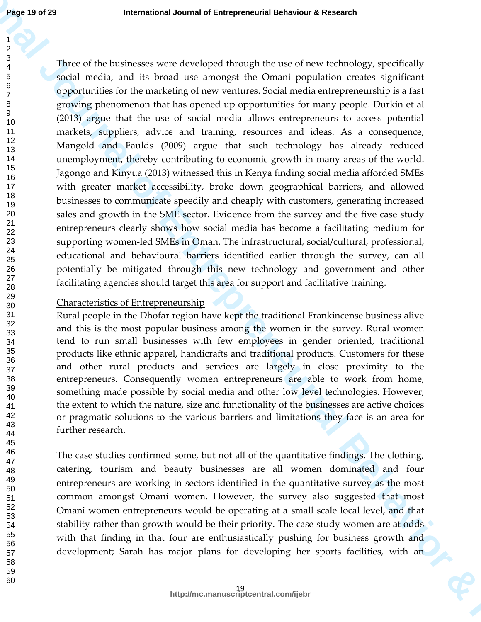**Page 13 of 29**<br>**International Journal of Entrepreneurial Behavior & Research**<br>
2<br> **IDENT CONTEXT (THE CONTEXT)**<br> **IDENT CONTEXT**<br> **IDENT CONTEXT (THE CONTEXT)**<br> **IDENT CONTEXT (THE CONTEXT)**<br> **IDENT CONTEXT (THE CONTEXT)** Three of the businesses were developed through the use of new technology, specifically social media, and its broad use amongst the Omani population creates significant opportunities for the marketing of new ventures. Social media entrepreneurship is a fast growing phenomenon that has opened up opportunities for many people. Durkin et al (2013) argue that the use of social media allows entrepreneurs to access potential markets, suppliers, advice and training, resources and ideas. As a consequence, Mangold and Faulds (2009) argue that such technology has already reduced unemployment, thereby contributing to economic growth in many areas of the world. Jagongo and Kinyua (2013) witnessed this in Kenya finding social media afforded SMEs with greater market accessibility, broke down geographical barriers, and allowed businesses to communicate speedily and cheaply with customers, generating increased sales and growth in the SME sector. Evidence from the survey and the five case study entrepreneurs clearly shows how social media has become a facilitating medium for supporting women-led SMEs in Oman. The infrastructural, social/cultural, professional, educational and behavioural barriers identified earlier through the survey, can all potentially be mitigated through this new technology and government and other facilitating agencies should target this area for support and facilitative training.

#### Characteristics of Entrepreneurship

Rural people in the Dhofar region have kept the traditional Frankincense business alive and this is the most popular business among the women in the survey. Rural women tend to run small businesses with few employees in gender oriented, traditional products like ethnic apparel, handicrafts and traditional products. Customers for these and other rural products and services are largely in close proximity to the entrepreneurs. Consequently women entrepreneurs are able to work from home, something made possible by social media and other low level technologies. However, the extent to which the nature, size and functionality of the businesses are active choices or pragmatic solutions to the various barriers and limitations they face is an area for further research.

The case studies confirmed some, but not all of the quantitative findings. The clothing, catering, tourism and beauty businesses are all women dominated and four entrepreneurs are working in sectors identified in the quantitative survey as the most common amongst Omani women. However, the survey also suggested that most Omani women entrepreneurs would be operating at a small scale local level, and that stability rather than growth would be their priority. The case study women are at odds with that finding in that four are enthusiastically pushing for business growth and development; Sarah has major plans for developing her sports facilities, with an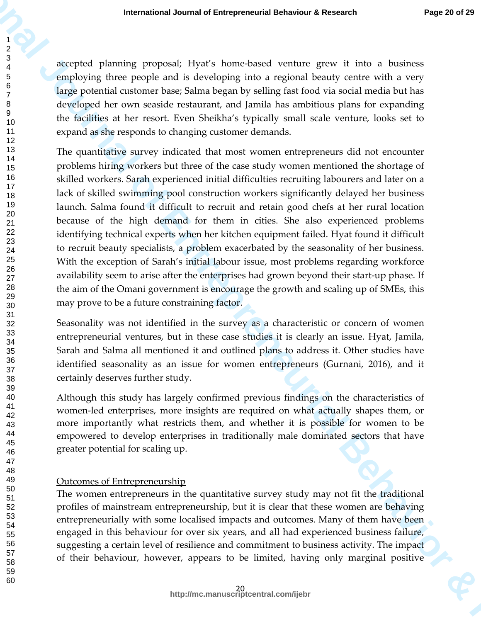accepted planning proposal; Hyat's home-based venture grew it into a business employing three people and is developing into a regional beauty centre with a very large potential customer base; Salma began by selling fast food via social media but has developed her own seaside restaurant, and Jamila has ambitious plans for expanding the facilities at her resort. Even Sheikha's typically small scale venture, looks set to expand as she responds to changing customer demands.

**International Journal of Entrepreneurial Behavior & Research<br>
2<br>
<b>International of Entrepreneurial Behavior Street in Specific Section (1)**<br>
2<br> **International of Entrepreneurial Behavior Street in Specific Section (1)**<br>
2 The quantitative survey indicated that most women entrepreneurs did not encounter problems hiring workers but three of the case study women mentioned the shortage of skilled workers. Sarah experienced initial difficulties recruiting labourers and later on a lack of skilled swimming pool construction workers significantly delayed her business launch. Salma found it difficult to recruit and retain good chefs at her rural location because of the high demand for them in cities. She also experienced problems identifying technical experts when her kitchen equipment failed. Hyat found it difficult to recruit beauty specialists, a problem exacerbated by the seasonality of her business. With the exception of Sarah's initial labour issue, most problems regarding workforce availability seem to arise after the enterprises had grown beyond their start-up phase. If the aim of the Omani government is encourage the growth and scaling up of SMEs, this may prove to be a future constraining factor.

Seasonality was not identified in the survey as a characteristic or concern of women entrepreneurial ventures, but in these case studies it is clearly an issue. Hyat, Jamila, Sarah and Salma all mentioned it and outlined plans to address it. Other studies have identified seasonality as an issue for women entrepreneurs (Gurnani, 2016), and it certainly deserves further study.

Although this study has largely confirmed previous findings on the characteristics of women-led enterprises, more insights are required on what actually shapes them, or more importantly what restricts them, and whether it is possible for women to be empowered to develop enterprises in traditionally male dominated sectors that have greater potential for scaling up.

#### Outcomes of Entrepreneurship

The women entrepreneurs in the quantitative survey study may not fit the traditional profiles of mainstream entrepreneurship, but it is clear that these women are behaving entrepreneurially with some localised impacts and outcomes. Many of them have been engaged in this behaviour for over six years, and all had experienced business failure, suggesting a certain level of resilience and commitment to business activity. The impact of their behaviour, however, appears to be limited, having only marginal positive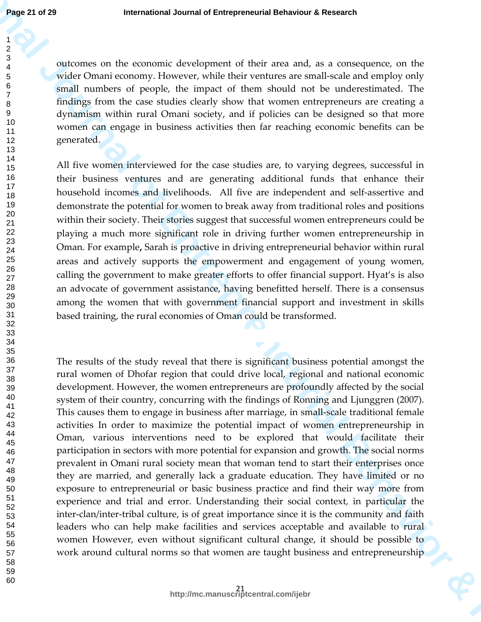outcomes on the economic development of their area and, as a consequence, on the wider Omani economy. However, while their ventures are small-scale and employ only small numbers of people, the impact of them should not be underestimated. The findings from the case studies clearly show that women entrepreneurs are creating a dynamism within rural Omani society, and if policies can be designed so that more women can engage in business activities then far reaching economic benefits can be generated.

All five women interviewed for the case studies are, to varying degrees, successful in their business ventures and are generating additional funds that enhance their household incomes and livelihoods. All five are independent and self-assertive and demonstrate the potential for women to break away from traditional roles and positions within their society. Their stories suggest that successful women entrepreneurs could be playing a much more significant role in driving further women entrepreneurship in Oman. For example**,** Sarah is proactive in driving entrepreneurial behavior within rural areas and actively supports the empowerment and engagement of young women, calling the government to make greater efforts to offer financial support. Hyat's is also an advocate of government assistance, having benefitted herself. There is a consensus among the women that with government financial support and investment in skills based training, the rural economies of Oman could be transformed.

**Page 21 of 29**<br> **International Journal of Entrepreneurial Behavior & Research<br>
2<br>
<b>International of Entrepreneurial Behavior State and the entrepreneuring of Entrepreneuring (Figure Chemic resume the properties) on the s** The results of the study reveal that there is significant business potential amongst the rural women of Dhofar region that could drive local, regional and national economic development. However, the women entrepreneurs are profoundly affected by the social system of their country, concurring with the findings of Ronning and Ljunggren (2007). This causes them to engage in business after marriage, in small-scale traditional female activities In order to maximize the potential impact of women entrepreneurship in Oman, various interventions need to be explored that would facilitate their participation in sectors with more potential for expansion and growth. The social norms prevalent in Omani rural society mean that woman tend to start their enterprises once they are married, and generally lack a graduate education. They have limited or no exposure to entrepreneurial or basic business practice and find their way more from experience and trial and error. Understanding their social context, in particular the inter-clan/inter-tribal culture, is of great importance since it is the community and faith leaders who can help make facilities and services acceptable and available to rural women However, even without significant cultural change, it should be possible to work around cultural norms so that women are taught business and entrepreneurship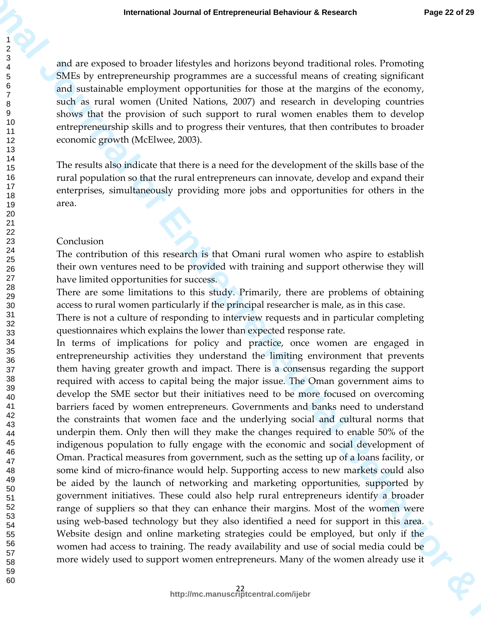and are exposed to broader lifestyles and horizons beyond traditional roles. Promoting SMEs by entrepreneurship programmes are a successful means of creating significant and sustainable employment opportunities for those at the margins of the economy, such as rural women (United Nations, 2007) and research in developing countries shows that the provision of such support to rural women enables them to develop entrepreneurship skills and to progress their ventures, that then contributes to broader economic growth (McElwee, 2003).

The results also indicate that there is a need for the development of the skills base of the rural population so that the rural entrepreneurs can innovate, develop and expand their enterprises, simultaneously providing more jobs and opportunities for others in the area.

#### Conclusion

The contribution of this research is that Omani rural women who aspire to establish their own ventures need to be provided with training and support otherwise they will have limited opportunities for success.

There are some limitations to this study. Primarily, there are problems of obtaining access to rural women particularly if the principal researcher is male, as in this case.

There is not a culture of responding to interview requests and in particular completing questionnaires which explains the lower than expected response rate.

**International Journal of Entrepreneurial Behavior & Research<br>
2.4 and are reproced to broader Hersphes and horizons beyond endelined reds, Premating<br>
SMCs by reneuries or why proposes are a successful memorial of modify a** In terms of implications for policy and practice, once women are engaged in entrepreneurship activities they understand the limiting environment that prevents them having greater growth and impact. There is a consensus regarding the support required with access to capital being the major issue. The Oman government aims to develop the SME sector but their initiatives need to be more focused on overcoming barriers faced by women entrepreneurs. Governments and banks need to understand the constraints that women face and the underlying social and cultural norms that underpin them. Only then will they make the changes required to enable 50% of the indigenous population to fully engage with the economic and social development of Oman. Practical measures from government, such as the setting up of a loans facility, or some kind of micro-finance would help. Supporting access to new markets could also be aided by the launch of networking and marketing opportunities, supported by government initiatives. These could also help rural entrepreneurs identify a broader range of suppliers so that they can enhance their margins. Most of the women were using web-based technology but they also identified a need for support in this area. Website design and online marketing strategies could be employed, but only if the women had access to training. The ready availability and use of social media could be more widely used to support women entrepreneurs. Many of the women already use it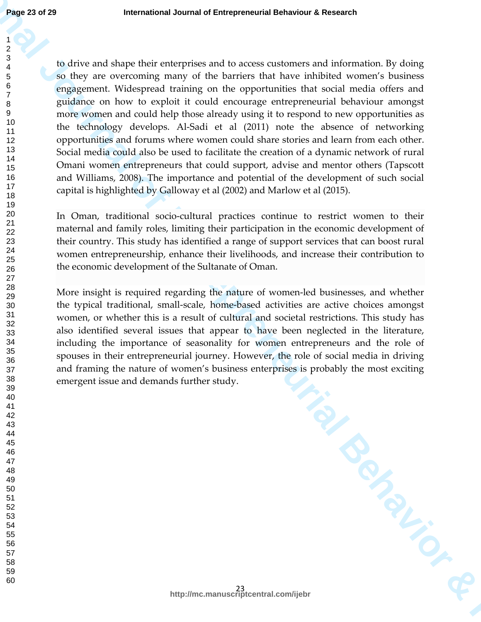**International Journal of Entrepreneurial Behavior & Research**<br> **In this particular in the particular of Entrepreneurial Behavior & Research**<br> **In the particular in the particular international of Entrepreneurial Behavior** to drive and shape their enterprises and to access customers and information. By doing so they are overcoming many of the barriers that have inhibited women's business engagement. Widespread training on the opportunities that social media offers and guidance on how to exploit it could encourage entrepreneurial behaviour amongst more women and could help those already using it to respond to new opportunities as the technology develops. Al-Sadi et al (2011) note the absence of networking opportunities and forums where women could share stories and learn from each other. Social media could also be used to facilitate the creation of a dynamic network of rural Omani women entrepreneurs that could support, advise and mentor others (Tapscott and Williams, 2008). The importance and potential of the development of such social capital is highlighted by Galloway et al (2002) and Marlow et al (2015).

In Oman, traditional socio-cultural practices continue to restrict women to their maternal and family roles, limiting their participation in the economic development of their country. This study has identified a range of support services that can boost rural women entrepreneurship, enhance their livelihoods, and increase their contribution to the economic development of the Sultanate of Oman.

More insight is required regarding the nature of women-led businesses, and whether the typical traditional, small-scale, home-based activities are active choices amongst women, or whether this is a result of cultural and societal restrictions. This study has including the importance of seasonality for women entrepreneurs and the role of spouses in their entrepreneurial journey. However, the role of social media in driving and framing the nature of women's business enterprises is probably the most exciting emergent issue and demands further study.

also identified several issues that appear to have been neglected in the literature,<br>including the importance of seasonality for women entrepreneurs and the role of<br>spouses in their enterpreneurial journey. However, the r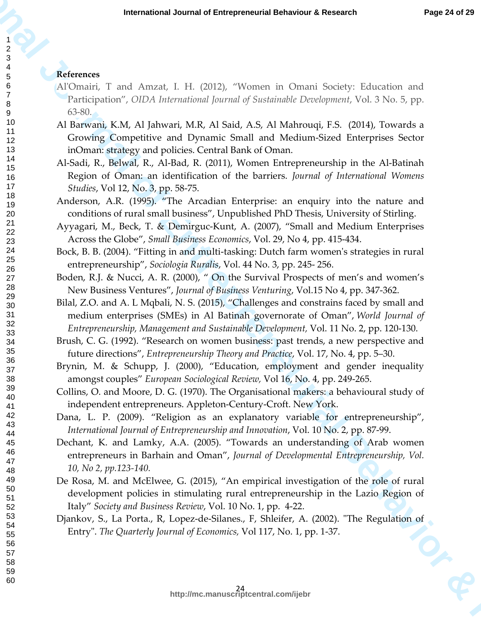#### **References**

- Al'Omairi, T and Amzat, I. H. (2012), "Women in Omani Society: Education and Participation", *OIDA International Journal of Sustainable Development*, Vol. 3 No. 5, pp. 63-80.
- **International Journal of Entrepreneurial Behavior & Research<br>
<b>International of Entrepreneurial Behavior & Research**<br> **International of Entrepreneurial Action Constrained Society (International of Entrepreneurial Society** Al Barwani, K.M, Al Jahwari, M.R, Al Said, A.S, Al Mahrouqi, F.S. (2014), Towards a Growing Competitive and Dynamic Small and Medium-Sized Enterprises Sector inOman: strategy and policies. Central Bank of Oman.
	- Al-Sadi, R., Belwal, R., Al-Bad, R. (2011), Women Entrepreneurship in the Al-Batinah Region of Oman: an identification of the barriers. *Journal of International Womens Studies*, Vol 12, No. 3, pp. 58-75.
	- Anderson, A.R. (1995). "The Arcadian Enterprise: an enquiry into the nature and conditions of rural small business", Unpublished PhD Thesis, University of Stirling.
	- Ayyagari, M., Beck, T. & Demirguc-Kunt, A. (2007), "Small and Medium Enterprises Across the Globe", *Small Business Economics*, Vol. 29, No 4, pp. 415-434.
	- Bock, B. B. (2004). "Fitting in and multi-tasking: Dutch farm women's strategies in rural entrepreneurship", *Sociologia Ruralis*, Vol. 44 No. 3, pp. 245- 256.
	- Boden, R.J. & Nucci, A. R. (2000), " On the Survival Prospects of men's and women's New Business Ventures", *Journal of Business Venturing*, Vol.15 No 4, pp. 347-362.
	- Bilal, Z.O. and A. L Mqbali, N. S. (2015), "Challenges and constrains faced by small and medium enterprises (SMEs) in Al Batinah governorate of Oman", *World Journal of Entrepreneurship, Management and Sustainable Development,* Vol. 11 No. 2, pp. 120-130.
	- Brush, C. G. (1992). "Research on women business: past trends, a new perspective and future directions", *Entrepreneurship Theory and Practice*, Vol. 17, No. 4, pp. 5–30.
	- Brynin, M. & Schupp, J. (2000), "Education, employment and gender inequality amongst couples" *European Sociological Review,* Vol 16, No. 4, pp. 249-265.
	- Collins, O. and Moore, D. G. (1970). The Organisational makers: a behavioural study of independent entrepreneurs. Appleton-Century-Croft. New York.
	- Dana, L. P. (2009). "Religion as an explanatory variable for entrepreneurship", *International Journal of Entrepreneurship and Innovation*, Vol. 10 No. 2, pp. 87-99.
	- Dechant, K. and Lamky, A.A. (2005). "Towards an understanding of Arab women entrepreneurs in Barhain and Oman", *Journal of Developmental Entrepreneurship, Vol. 10, No 2, pp.123-140.*
	- De Rosa, M. and McElwee, G. (2015), "An empirical investigation of the role of rural development policies in stimulating rural entrepreneurship in the Lazio Region of Italy" *Society and Business Review*, Vol. 10 No. 1, pp. 4-22.
	- Djankov, S., La Porta., R, Lopez-de-Silanes., F, Shleifer, A. (2002). "The Regulation of Entry". *The Quarterly Journal of Economics,* Vol 117, No. 1, pp. 1-37.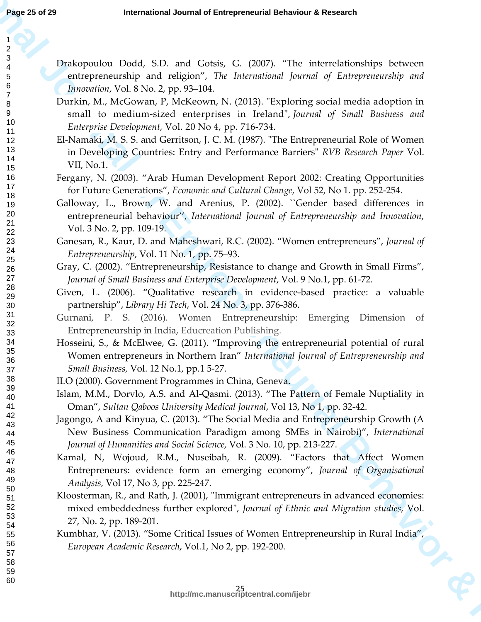Drakopoulou Dodd, S.D. and Gotsis, G. (2007). "The interrelationships between entrepreneurship and religion", *The International Journal of Entrepreneurship and Innovation*, Vol. 8 No. 2, pp. 93–104.

- Durkin, M., McGowan, P, McKeown, N. (2013). "Exploring social media adoption in small to medium-sized enterprises in Ireland", *Journal of Small Business and Enterprise Development,* Vol. 20 No 4, pp. 716-734.
- **Page 21 of 29**<br> **International Journal of Entrepreneurial Behavior & Research**<br> **International of California** Construction (C. (2002). The international photon of Constraint and<br> **International of Entrepreneurial photon** El-Namaki, M. S. S. and Gerritson, J. C. M. (1987). "The Entrepreneurial Role of Women in Developing Countries: Entry and Performance Barriers" *RVB Research Paper* Vol. VII, No.1.
	- Fergany, N. (2003). "Arab Human Development Report 2002: Creating Opportunities for Future Generations", *Economic and Cultural Change*, Vol 52, No 1. pp. 252-254.
	- Galloway, L., Brown, W. and Arenius, P. (2002). ``Gender based differences in entrepreneurial behaviour'', *International Journal of Entrepreneurship and Innovation*, Vol. 3 No. 2, pp. 109-19.
	- Ganesan, R., Kaur, D. and Maheshwari, R.C. (2002). "Women entrepreneurs", *Journal of Entrepreneurship*, Vol. 11 No. 1, pp. 75–93.
	- Gray, C. (2002). "Entrepreneurship, Resistance to change and Growth in Small Firms", *Journal of Small Business and Enterprise Development*, Vol. 9 No.1, pp. 61-72.
	- Given, L. (2006). "Qualitative research in evidence-based practice: a valuable partnership", *Library Hi Tech*, Vol. 24 No. 3, pp. 376-386.
	- Gurnani, P. S. (2016). Women Entrepreneurship: Emerging Dimension of Entrepreneurship in India, Educreation Publishing.
	- Hosseini, S., & McElwee, G. (2011). "Improving the entrepreneurial potential of rural Women entrepreneurs in Northern Iran" *International Journal of Entrepreneurship and Small Business,* Vol. 12 No.1, pp.1 5-27.
	- ILO (2000). Government Programmes in China, Geneva.
	- Islam, M.M., Dorvlo, A.S. and Al-Qasmi. (2013). "The Pattern of Female Nuptiality in Oman", *Sultan Qaboos University Medical Journal*, Vol 13, No 1, pp. 32-42.
	- Jagongo, A and Kinyua, C. (2013). "The Social Media and Entrepreneurship Growth (A New Business Communication Paradigm among SMEs in Nairobi)", *International Journal of Humanities and Social Science,* Vol. 3 No. 10, pp. 213-227.
	- Kamal, N, Wojoud, R.M., Nuseibah, R. (2009). "Factors that Affect Women Entrepreneurs: evidence form an emerging economy", *Journal of Organisational Analysis,* Vol 17, No 3, pp. 225-247.
	- Kloosterman, R., and Rath, J. (2001), "Immigrant entrepreneurs in advanced economies: mixed embeddedness further explored", *Journal of Ethnic and Migration studies*, Vol. 27, No. 2, pp. 189-201.
	- Kumbhar, V. (2013). "Some Critical Issues of Women Entrepreneurship in Rural India", *European Academic Research*, Vol.1, No 2, pp. 192-200.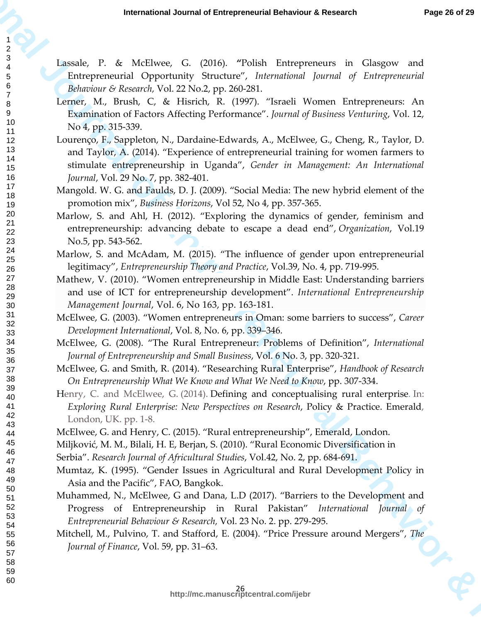- Lassale, P. & McElwee, G. (2016). **"**Polish Entrepreneurs in Glasgow and Entrepreneurial Opportunity Structure", *International Journal of Entrepreneurial Behaviour & Research,* Vol. 22 No.2, pp. 260-281.
- Lerner, M., Brush, C, & Hisrich, R. (1997). "Israeli Women Entrepreneurs: An Examination of Factors Affecting Performance". *Journal of Business Venturing*, Vol. 12, No 4, pp. 315-339.
- **International Journal of Entrepreneurial Behavior & Research Pape 2 of 2<br>
<b>International Operation** Seminary, between the Clientification of the Clientification of the Clientification of the Clientification of the Client Lourenço, F., Sappleton, N., Dardaine-Edwards, A., McElwee, G., Cheng, R., Taylor, D. and Taylor, A. (2014). "Experience of entrepreneurial training for women farmers to stimulate entrepreneurship in Uganda", *Gender in Management: An International Journal*, Vol. 29 No. 7, pp. 382-401.
	- Mangold. W. G. and Faulds, D. J. (2009). "Social Media: The new hybrid element of the promotion mix", *Business Horizons*, Vol 52, No 4, pp. 357-365.
	- Marlow, S. and Ahl, H. (2012). "Exploring the dynamics of gender, feminism and entrepreneurship: advancing debate to escape a dead end", *Organization*, Vol.19 No.5, pp. 543-562.
	- Marlow, S. and McAdam, M. (2015). "The influence of gender upon entrepreneurial legitimacy", *Entrepreneurship Theory and Practice*, Vol.39, No. 4, pp. 719-995.
	- Mathew, V. (2010). "Women entrepreneurship in Middle East: Understanding barriers and use of ICT for entrepreneurship development". *International Entrepreneurship Management Journal*, Vol. 6, No 163, pp. 163-181.
	- McElwee, G. (2003). "Women entrepreneurs in Oman: some barriers to success", *Career Development International*, Vol. 8, No. 6, pp. 339–346.
	- McElwee, G. (2008). "The Rural Entrepreneur: Problems of Definition", *International Journal of Entrepreneurship and Small Business*, Vol. 6 No. 3, pp. 320-321.
	- McElwee, G. and Smith, R. (2014). "Researching Rural Enterprise", *Handbook of Research On Entrepreneurship What We Know and What We Need to Know*, pp. 307-334.
	- Henry, C. and McElwee, G. (2014). Defining and conceptualising rural enterprise*.* In: *Exploring Rural Enterprise: New Perspectives on Research*, Policy & Practice. Emerald, London, UK. pp. 1-8.
	- McElwee, G. and Henry, C. (2015). "Rural entrepreneurship", Emerald, London.
	- Miljković, M. M., Bilali, H. E, Berjan, S. (2010). "Rural Economic Diversification in
	- Serbia". *Research Journal of Africultural Studies*, Vol.42, No. 2, pp. 684-691.
	- Mumtaz, K. (1995). "Gender Issues in Agricultural and Rural Development Policy in Asia and the Pacific", FAO, Bangkok.
	- Muhammed, N., McElwee, G and Dana, L.D (2017). "Barriers to the Development and Progress of Entrepreneurship in Rural Pakistan" *International Journal of Entrepreneurial Behaviour & Research,* Vol. 23 No. 2. pp. 279-295.
	- Mitchell, M., Pulvino, T. and Stafford, E. (2004). "Price Pressure around Mergers", *The Journal of Finance*, Vol. 59, pp. 31–63.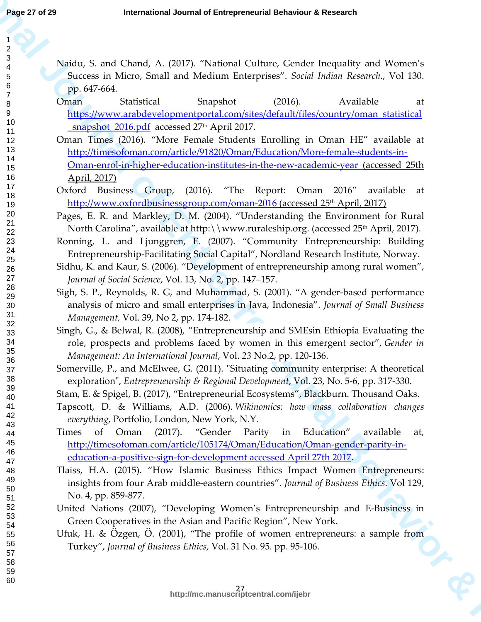Naidu, S. and Chand, A. (2017). "National Culture, Gender Inequality and Women's Success in Micro, Small and Medium Enterprises". *Social Indian Research*., Vol 130. pp. 647-664.

- Oman Statistical Snapshot (2016). Available at https://www.arabdevelopmentportal.com/sites/default/files/country/oman\_statistical snapshot 2016.pdf accessed 27<sup>th</sup> April 2017.
- **Page 37 of 28**<br> **International Journal of Entrepreneurial Behavior & Research**<br>
2 of Minitedeck Conditional Section Temperates", Suiding Research, Vol 120<br> **International of Minitedeck Conditional of Entrepreneurial Cond** Oman Times (2016). "More Female Students Enrolling in Oman HE" available at http://timesofoman.com/article/91820/Oman/Education/More-female-students-in-Oman-enrol-in-higher-education-institutes-in-the-new-academic-year (accessed 25th April, 2017)
	- Oxford Business Group, (2016). "The Report: Oman 2016" available at http://www.oxfordbusinessgroup.com/oman-2016 (accessed 25<sup>th</sup> April, 2017)
	- Pages, E. R. and Markley, D. M. (2004). "Understanding the Environment for Rural North Carolina", available at http: \ \www.ruraleship.org. (accessed 25<sup>th</sup> April, 2017).
	- Ronning, L. and Ljunggren, E. (2007). "Community Entrepreneurship: Building Entrepreneurship-Facilitating Social Capital", Nordland Research Institute, Norway.
	- Sidhu, K. and Kaur, S. (2006). "Development of entrepreneurship among rural women", *Journal of Social Science*, Vol. 13, No. 2, pp. 147–157.
	- Sigh, S. P., Reynolds, R. G, and Muhammad, S. (2001). "A gender-based performance analysis of micro and small enterprises in Java, Indonesia". *Journal of Small Business Management,* Vol. 39, No 2, pp. 174-182.
	- Singh, G., & Belwal, R. (2008), "Entrepreneurship and SMEsin Ethiopia Evaluating the role, prospects and problems faced by women in this emergent sector", *Gender in Management: An International Journal*, Vol. *23* No.2, pp. 120-136.
	- Somerville, P., and McElwee, G. (2011). "Situating community enterprise: A theoretical exploration", *Entrepreneurship & Regional Development*, Vol. 23, No. 5-6, pp. 317-330.
	- Stam, E. & Spigel, B. (2017), "Entrepreneurial Ecosystems", Blackburn. Thousand Oaks.
	- Tapscott, D. & Williams, A.D. (2006). *Wikinomics: how mass collaboration changes everything,* Portfolio, London, New York, N.Y.
	- Times of Oman (2017). "Gender Parity in Education" available at, http://timesofoman.com/article/105174/Oman/Education/Oman-gender-parity-ineducation-a-positive-sign-for-development accessed April 27th 2017.
	- Tlaiss, H.A. (2015). "How Islamic Business Ethics Impact Women Entrepreneurs: insights from four Arab middle-eastern countries". *Journal of Business Ethics*. Vol 129, No. 4, pp. 859-877.
	- United Nations (2007), "Developing Women's Entrepreneurship and E-Business in Green Cooperatives in the Asian and Pacific Region", New York.
	- Ufuk, H. & Özgen, Ö. (2001), "The profile of women entrepreneurs: a sample from Turkey", *Journal of Business Ethics,* Vol. 31 No. 95. pp. 95-106.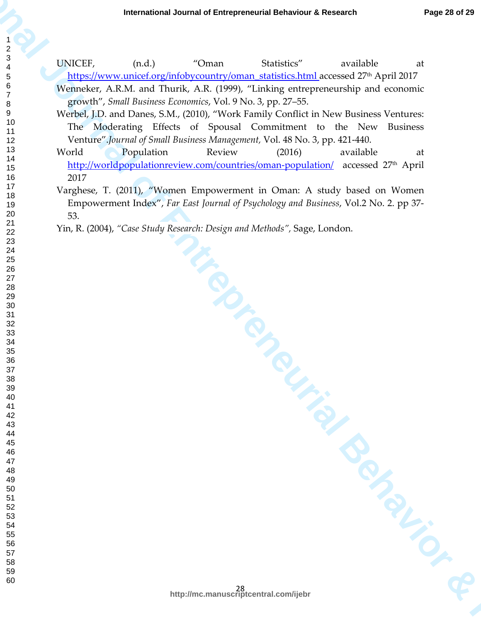UNICEF, (n.d.) "Oman Statistics" available at https://www.unicef.org/infobycountry/oman\_statistics.html accessed 27<sup>th</sup> April 2017

Wenneker, A.R.M. and Thurik, A.R. (1999), "Linking entrepreneurship and economic growth", *Small Business Economics*, Vol. 9 No. 3, pp. 27–55.

- Werbel, J.D. and Danes, S.M., (2010), "Work Family Conflict in New Business Ventures: The Moderating Effects of Spousal Commitment to the New Business Venture".*Journal of Small Business Management,* Vol. 48 No. 3, pp. 421-440.
- **INTERETATION JOURNAL CONFIRMATION**<br> **INTERETATION (ACT)**<br> **INTERETATION CONFIRMATION**<br> **INTERFERENCE IN A SUBJECTIVE CONFIRMATION** SUBSCRIPTION SECOND PROPERTION SECOND TRANSPORTED AND CONFIRM IN POSSIBLE TRANSPORTED AND World Population Review (2016) available at http://worldpopulationreview.com/countries/oman-population/ accessed 27th April
	- Varghese, T. (2011), "Women Empowerment in Oman: A study based on Women Empowerment Index", *Far East Journal of Psychology and Business*, Vol.2 No. 2. pp 37- 53.

Yin, R. (2004), *"Case Study Research: Design and Methods",* Sage, London.